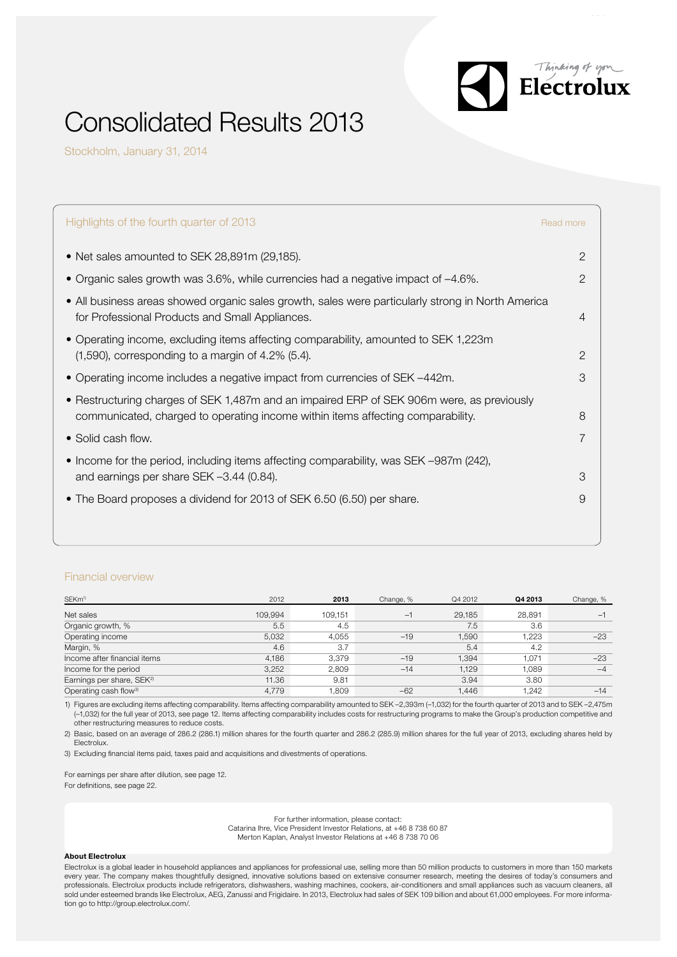

# Consolidated Results 2013

Stockholm, January 31, 2014

| Highlights of the fourth quarter of 2013                                                                                                                                     | Read more      |
|------------------------------------------------------------------------------------------------------------------------------------------------------------------------------|----------------|
| • Net sales amounted to SEK 28,891m (29,185).                                                                                                                                | $\overline{2}$ |
| • Organic sales growth was 3.6%, while currencies had a negative impact of -4.6%.                                                                                            | $\overline{2}$ |
| • All business areas showed organic sales growth, sales were particularly strong in North America<br>for Professional Products and Small Appliances.                         | $\overline{4}$ |
| • Operating income, excluding items affecting comparability, amounted to SEK 1,223m<br>$(1,590)$ , corresponding to a margin of 4.2% $(5.4)$ .                               | $\mathcal{P}$  |
| • Operating income includes a negative impact from currencies of SEK -442m.                                                                                                  | 3              |
| • Restructuring charges of SEK 1,487m and an impaired ERP of SEK 906m were, as previously<br>communicated, charged to operating income within items affecting comparability. | 8              |
| • Solid cash flow.                                                                                                                                                           | 7              |
| • Income for the period, including items affecting comparability, was SEK -987m (242),<br>and earnings per share SEK -3.44 (0.84).                                           | 3              |
| • The Board proposes a dividend for 2013 of SEK 6.50 (6.50) per share.                                                                                                       | 9              |
|                                                                                                                                                                              |                |

### Financial overview

| SEKm <sup>1)</sup>                    | 2012    | 2013    | Change, % | Q4 2012 | Q4 2013 | Change, % |
|---------------------------------------|---------|---------|-----------|---------|---------|-----------|
| Net sales                             | 109,994 | 109,151 | $-1$      | 29,185  | 28,891  |           |
| Organic growth, %                     | 5.5     | 4.5     |           | 7.5     | 3.6     |           |
| Operating income                      | 5.032   | 4.055   | $-19$     | 1.590   | 1.223   | $-23$     |
| Margin, %                             | 4.6     | 3.7     |           | 5.4     | 4.2     |           |
| Income after financial items          | 4.186   | 3.379   | $-19$     | 1.394   | 1.071   | $-23$     |
| Income for the period                 | 3.252   | 2.809   | $-14$     | 1.129   | 1.089   | $-4$      |
| Earnings per share, SEK <sup>2)</sup> | 11.36   | 9.81    |           | 3.94    | 3.80    |           |
| Operating cash flow <sup>3)</sup>     | 4.779   | .809    | $-62$     | 1,446   | 1.242   | $-14$     |

1) Figures are excluding items affecting comparability. Items affecting comparability amounted to SEK –2,393m (–1,032) for the fourth quarter of 2013 and to SEK –2,475m (–1,032) for the full year of 2013, see page 12. Items affecting comparability includes costs for restructuring programs to make the Group's production competitive and other restructuring measures to reduce costs.

2) Basic, based on an average of 286.2 (286.1) million shares for the fourth quarter and 286.2 (285.9) million shares for the full year of 2013, excluding shares held by Electrolux.

3) Excluding financial items paid, taxes paid and acquisitions and divestments of operations.

For earnings per share after dilution, see page 12.

For definitions, see page 22.

For further information, please contact:

Catarina Ihre, Vice President Investor Relations, at +46 8 738 60 87

Merton Kaplan, Analyst Investor Relations at +46 8 738 70 06

#### About Electrolux

Electrolux is a global leader in household appliances and appliances for professional use, selling more than 50 million products to customers in more than 150 markets every year. The company makes thoughtfully designed, innovative solutions based on extensive consumer research, meeting the desires of today's consumers and professionals. Electrolux products include refrigerators, dishwashers, washing machines, cookers, air-conditioners and small appliances such as vacuum cleaners, all sold under esteemed brands like Electrolux, AEG, Zanussi and Frigidaire. In 2013, Electrolux had sales of SEK 109 billion and about 61,000 employees. For more information go to http://group.electrolux.com/.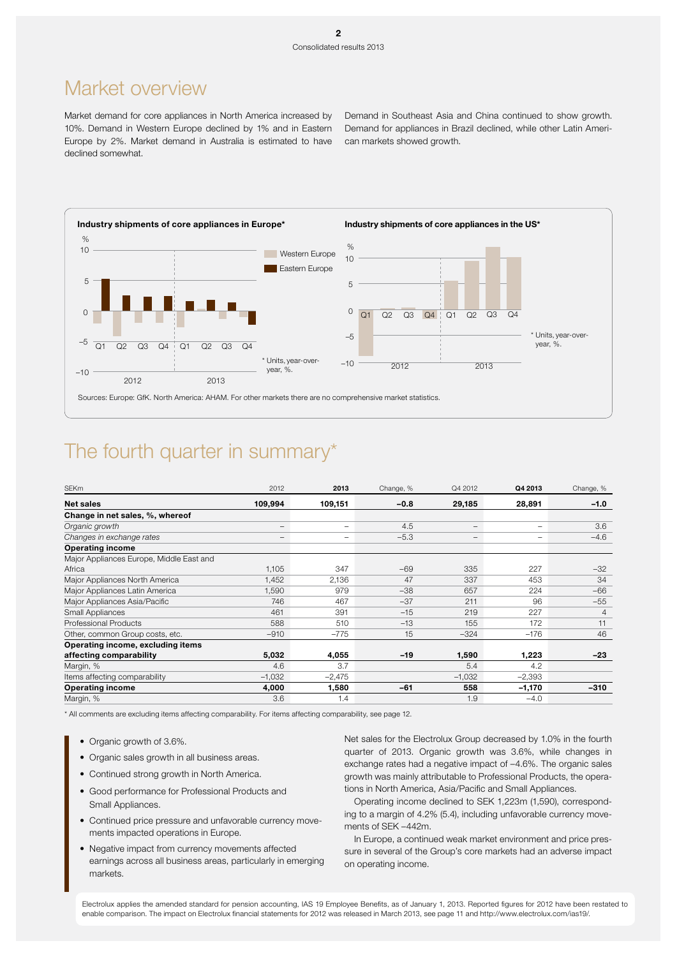## Market overview

Market demand for core appliances in North America increased by Demand in Southeast Asia and China continued to show growth. 10%. Demand in Western Europe declined by 1% and in Eastern Europe by 2%. Market demand in Australia is estimated to have declined somewhat.

Demand for appliances in Brazil declined, while other Latin American markets showed growth.



## The fourth quarter in summary\*

| <b>SEKm</b>                              | 2012              | 2013            | Change, % | Q4 2012           | Q4 2013                  | Change, %      |
|------------------------------------------|-------------------|-----------------|-----------|-------------------|--------------------------|----------------|
| <b>Net sales</b>                         | 109,994           | 109,151         | $-0.8$    | 29,185            | 28,891                   | $-1.0$         |
| Change in net sales, %, whereof          |                   |                 |           |                   |                          |                |
| Organic growth                           | $\qquad \qquad -$ | $\qquad \qquad$ | 4.5       | $\qquad \qquad -$ | $\overline{\phantom{a}}$ | 3.6            |
| Changes in exchange rates                | $\qquad \qquad -$ | $\qquad \qquad$ | $-5.3$    | $\qquad \qquad -$ |                          | $-4.6$         |
| <b>Operating income</b>                  |                   |                 |           |                   |                          |                |
| Major Appliances Europe, Middle East and |                   |                 |           |                   |                          |                |
| Africa                                   | 1,105             | 347             | $-69$     | 335               | 227                      | $-32$          |
| Major Appliances North America           | 1,452             | 2,136           | 47        | 337               | 453                      | 34             |
| Major Appliances Latin America           | 1,590             | 979             | $-38$     | 657               | 224                      | $-66$          |
| Major Appliances Asia/Pacific            | 746               | 467             | $-37$     | 211               | 96                       | $-55$          |
| <b>Small Appliances</b>                  | 461               | 391             | $-15$     | 219               | 227                      | $\overline{4}$ |
| <b>Professional Products</b>             | 588               | 510             | $-13$     | 155               | 172                      | 11             |
| Other, common Group costs, etc.          | $-910$            | $-775$          | 15        | $-324$            | $-176$                   | 46             |
| Operating income, excluding items        |                   |                 |           |                   |                          |                |
| affecting comparability                  | 5,032             | 4,055           | $-19$     | 1,590             | 1,223                    | $-23$          |
| Margin, %                                | 4.6               | 3.7             |           | 5.4               | 4.2                      |                |
| Items affecting comparability            | $-1,032$          | $-2,475$        |           | $-1,032$          | $-2,393$                 |                |
| <b>Operating income</b>                  | 4,000             | 1,580           | $-61$     | 558               | $-1,170$                 | $-310$         |
| Margin, %                                | 3.6               | 1.4             |           | 1.9               | $-4.0$                   |                |

\* All comments are excluding items affecting comparability. For items affecting comparability, see page 12.

- Organic growth of 3.6%.
- Organic sales growth in all business areas.
- Continued strong growth in North America.
- Good performance for Professional Products and Small Appliances.
- Continued price pressure and unfavorable currency movements impacted operations in Europe.
- Negative impact from currency movements affected earnings across all business areas, particularly in emerging markets.

Net sales for the Electrolux Group decreased by 1.0% in the fourth quarter of 2013. Organic growth was 3.6%, while changes in exchange rates had a negative impact of –4.6%. The organic sales growth was mainly attributable to Professional Products, the operations in North America, Asia/Pacific and Small Appliances.

Operating income declined to SEK 1,223m (1,590), corresponding to a margin of 4.2% (5.4), including unfavorable currency movements of SEK –442m.

In Europe, a continued weak market environment and price pressure in several of the Group's core markets had an adverse impact on operating income.

Electrolux applies the amended standard for pension accounting, IAS 19 Employee Benefits, as of January 1, 2013. Reported figures for 2012 have been restated to enable comparison. The impact on Electrolux financial statements for 2012 was released in March 2013, see page 11 and http://www.electrolux.com/ias19/.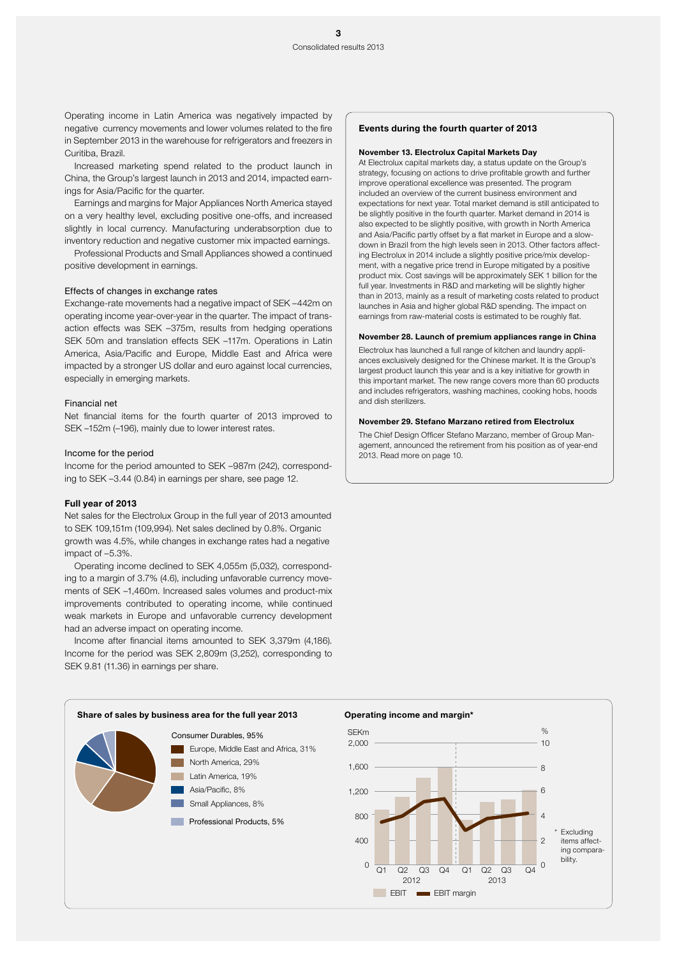Operating income in Latin America was negatively impacted by negative currency movements and lower volumes related to the fire in September 2013 in the warehouse for refrigerators and freezers in Curitiba, Brazil.

Increased marketing spend related to the product launch in China, the Group's largest launch in 2013 and 2014, impacted earnings for Asia/Pacific for the quarter.

Earnings and margins for Major Appliances North America stayed on a very healthy level, excluding positive one-offs, and increased slightly in local currency. Manufacturing underabsorption due to inventory reduction and negative customer mix impacted earnings.

Professional Products and Small Appliances showed a continued positive development in earnings.

### Effects of changes in exchange rates

Exchange-rate movements had a negative impact of SEK –442m on operating income year-over-year in the quarter. The impact of transaction effects was SEK –375m, results from hedging operations SEK 50m and translation effects SEK –117m. Operations in Latin America, Asia/Pacific and Europe, Middle East and Africa were impacted by a stronger US dollar and euro against local currencies, especially in emerging markets.

#### Financial net

Net financial items for the fourth quarter of 2013 improved to SEK –152m (–196), mainly due to lower interest rates.

#### Income for the period

Income for the period amounted to SEK –987m (242), corresponding to SEK –3.44 (0.84) in earnings per share, see page 12.

### Full year of 2013

Net sales for the Electrolux Group in the full year of 2013 amounted to SEK 109,151m (109,994). Net sales declined by 0.8%. Organic growth was 4.5%, while changes in exchange rates had a negative impact of –5.3%.

Operating income declined to SEK 4,055m (5,032), corresponding to a margin of 3.7% (4.6), including unfavorable currency movements of SEK –1,460m. Increased sales volumes and product-mix improvements contributed to operating income, while continued weak markets in Europe and unfavorable currency development had an adverse impact on operating income.

Income after financial items amounted to SEK 3,379m (4,186). Income for the period was SEK 2,809m (3,252), corresponding to SEK 9.81 (11.36) in earnings per share.

#### Events during the fourth quarter of 2013

#### November 13. Electrolux Capital Markets Day

At Electrolux capital markets day, a status update on the Group's strategy, focusing on actions to drive profitable growth and further improve operational excellence was presented. The program included an overview of the current business environment and expectations for next year. Total market demand is still anticipated to be slightly positive in the fourth quarter. Market demand in 2014 is also expected to be slightly positive, with growth in North America and Asia/Pacific partly offset by a flat market in Europe and a slowdown in Brazil from the high levels seen in 2013. Other factors affecting Electrolux in 2014 include a slightly positive price/mix development, with a negative price trend in Europe mitigated by a positive product mix. Cost savings will be approximately SEK 1 billion for the full year. Investments in R&D and marketing will be slightly higher than in 2013, mainly as a result of marketing costs related to product launches in Asia and higher global R&D spending. The impact on earnings from raw-material costs is estimated to be roughly flat.

#### November 28. Launch of premium appliances range in China

Electrolux has launched a full range of kitchen and laundry appliances exclusively designed for the Chinese market. It is the Group's largest product launch this year and is a key initiative for growth in this important market. The new range covers more than 60 products and includes refrigerators, washing machines, cooking hobs, hoods and dish sterilizers.

#### November 29. Stefano Marzano retired from Electrolux

The Chief Design Officer Stefano Marzano, member of Group Management, announced the retirement from his position as of year-end 2013. Read more on page 10.



### Operating income and margin\*

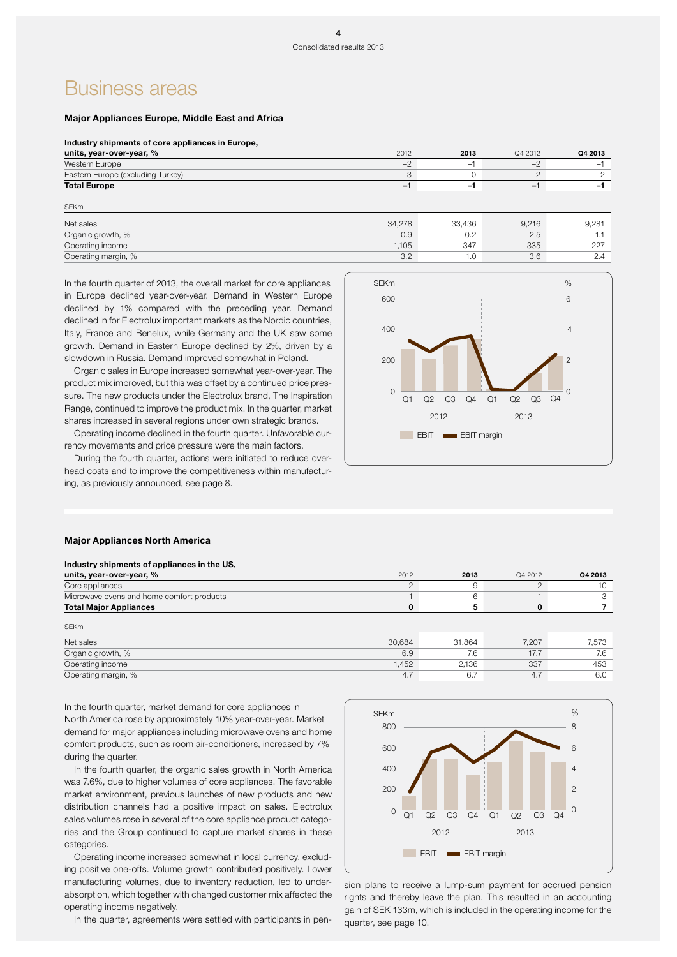## Business areas

SEKm

### Major Appliances Europe, Middle East and Africa

#### Industry shipments of core appliances in Europe,

| units, year-over-year, %          | 2012                     | 2013 | Q4 2012 | Q4 2013 |
|-----------------------------------|--------------------------|------|---------|---------|
| Western Europe                    | $\overline{\phantom{a}}$ | -    | - -     |         |
| Eastern Europe (excluding Turkey) |                          |      |         |         |
| <b>Total Europe</b>               | $\overline{\phantom{0}}$ | - 1  | -1      |         |
|                                   |                          |      |         |         |

| <b>ULIVIII</b>      |        |        |        |       |
|---------------------|--------|--------|--------|-------|
| Net sales           | 34.278 | 33.436 | 9.216  | 9,281 |
| Organic growth, %   | $-0.9$ | $-0.2$ | $-2.5$ | .     |
| Operating income    | 1.105  | 347    | 335    | 227   |
| Operating margin, % | 3.2    | 1.0    | 3.6    | 2.4   |
|                     |        |        |        |       |

In the fourth quarter of 2013, the overall market for core appliances in Europe declined year-over-year. Demand in Western Europe declined by 1% compared with the preceding year. Demand declined in for Electrolux important markets as the Nordic countries, Italy, France and Benelux, while Germany and the UK saw some growth. Demand in Eastern Europe declined by 2%, driven by a slowdown in Russia. Demand improved somewhat in Poland.

Organic sales in Europe increased somewhat year-over-year. The product mix improved, but this was offset by a continued price pressure. The new products under the Electrolux brand, The Inspiration Range, continued to improve the product mix. In the quarter, market shares increased in several regions under own strategic brands.

Operating income declined in the fourth quarter. Unfavorable currency movements and price pressure were the main factors.

During the fourth quarter, actions were initiated to reduce overhead costs and to improve the competitiveness within manufacturing, as previously announced, see page 8.



#### Major Appliances North America

| Industry shipments of appliances in the US, |        |        |         |         |
|---------------------------------------------|--------|--------|---------|---------|
| units, year-over-year, %                    | 2012   | 2013   | Q4 2012 | Q4 2013 |
| Core appliances                             | $-2$   | 9      | $-2$    | 10      |
| Microwave ovens and home comfort products   |        | $-6$   |         | $-3$    |
| <b>Total Major Appliances</b>               |        | 5      |         |         |
| <b>SEKm</b>                                 |        |        |         |         |
| Net sales                                   | 30,684 | 31,864 | 7.207   | 7,573   |
| Organic growth, %                           | 6.9    | 7.6    | 17.7    | 7.6     |
| Operating income                            | 1,452  | 2.136  | 337     | 453     |
| Operating margin, %                         | 4.7    | 6.7    | 4.7     | 6.0     |

In the fourth quarter, market demand for core appliances in North America rose by approximately 10% year-over-year. Market demand for major appliances including microwave ovens and home comfort products, such as room air-conditioners, increased by 7% during the quarter.

In the fourth quarter, the organic sales growth in North America was 7.6%, due to higher volumes of core appliances. The favorable market environment, previous launches of new products and new distribution channels had a positive impact on sales. Electrolux sales volumes rose in several of the core appliance product categories and the Group continued to capture market shares in these categories.

Operating income increased somewhat in local currency, excluding positive one-offs. Volume growth contributed positively. Lower manufacturing volumes, due to inventory reduction, led to underabsorption, which together with changed customer mix affected the operating income negatively.

In the quarter, agreements were settled with participants in pen-



sion plans to receive a lump-sum payment for accrued pension rights and thereby leave the plan. This resulted in an accounting gain of SEK 133m, which is included in the operating income for the quarter, see page 10.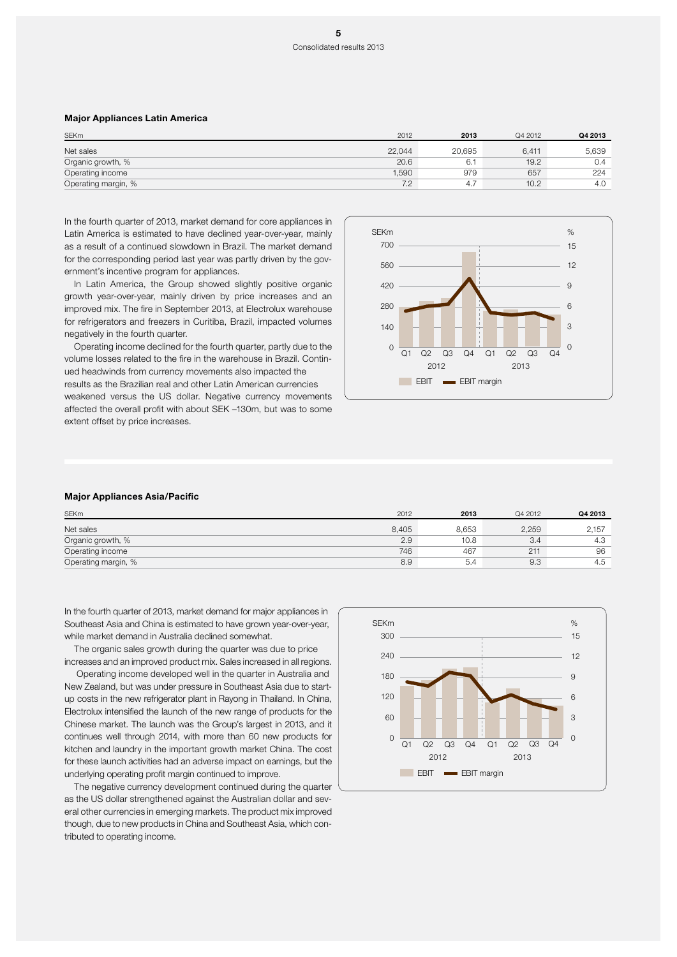### Major Appliances Latin America

| <b>SEKm</b>         | 2012   | 2013   | Q4 2012 | Q4 2013 |
|---------------------|--------|--------|---------|---------|
| Net sales           | 22.044 | 20.695 | 6,411   | 5,639   |
| Organic growth, %   | 20.6   | 6.     | 19.2    | 0.4     |
| Operating income    | 1,590  | 979    | 657     | 224     |
| Operating margin, % | 7.2    | 4.7    | 10.2    | 4.0     |

In the fourth quarter of 2013, market demand for core appliances in Latin America is estimated to have declined year-over-year, mainly as a result of a continued slowdown in Brazil. The market demand for the corresponding period last year was partly driven by the government's incentive program for appliances.

In Latin America, the Group showed slightly positive organic growth year-over-year, mainly driven by price increases and an improved mix. The fire in September 2013, at Electrolux warehouse for refrigerators and freezers in Curitiba, Brazil, impacted volumes negatively in the fourth quarter.

Operating income declined for the fourth quarter, partly due to the volume losses related to the fire in the warehouse in Brazil. Continued headwinds from currency movements also impacted the results as the Brazilian real and other Latin American currencies weakened versus the US dollar. Negative currency movements affected the overall profit with about SEK –130m, but was to some extent offset by price increases.



#### Major Appliances Asia/Pacific

| <b>SEKm</b>         | 2012  | 2013  | Q4 2012 | Q4 2013 |
|---------------------|-------|-------|---------|---------|
| Net sales           | 8.405 | 8.653 | 2,259   | 2,157   |
| Organic growth, %   | 2.9   | 10.8  | 3.4     | 4.3     |
| Operating income    | 746   | 467   | 211     | 96      |
| Operating margin, % | 8.9   | 5.4   | 9.3     | 4.5     |

In the fourth quarter of 2013, market demand for major appliances in Southeast Asia and China is estimated to have grown year-over-year, while market demand in Australia declined somewhat.

The organic sales growth during the quarter was due to price increases and an improved product mix. Sales increased in all regions.

 Operating income developed well in the quarter in Australia and New Zealand, but was under pressure in Southeast Asia due to startup costs in the new refrigerator plant in Rayong in Thailand. In China, Electrolux intensified the launch of the new range of products for the Chinese market. The launch was the Group's largest in 2013, and it continues well through 2014, with more than 60 new products for kitchen and laundry in the important growth market China. The cost for these launch activities had an adverse impact on earnings, but the underlying operating profit margin continued to improve.

The negative currency development continued during the quarter as the US dollar strengthened against the Australian dollar and several other currencies in emerging markets. The product mix improved though, due to new products in China and Southeast Asia, which contributed to operating income.

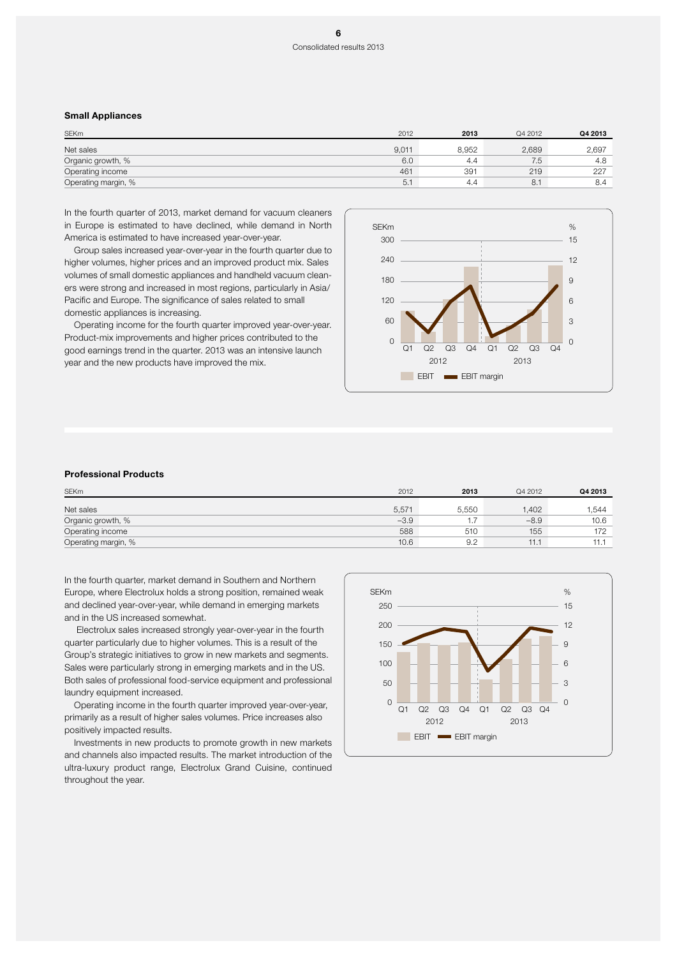### Consolidated results 2013

### Small Appliances

| <b>SEKm</b>         | 2012  | 2013  | Q4 2012 | Q4 2013 |
|---------------------|-------|-------|---------|---------|
| Net sales           | 9,011 | 8,952 | 2,689   | 2,697   |
| Organic growth, %   | 6.0   | 4.4   | 7.5     | 4.8     |
| Operating income    | 461   | 391   | 219     | 227     |
| Operating margin, % | 5.    | 4.4   | 8.1     | 8.4     |

In the fourth quarter of 2013, market demand for vacuum cleaners in Europe is estimated to have declined, while demand in North America is estimated to have increased year-over-year.

Group sales increased year-over-year in the fourth quarter due to higher volumes, higher prices and an improved product mix. Sales volumes of small domestic appliances and handheld vacuum cleaners were strong and increased in most regions, particularly in Asia/ Pacific and Europe. The significance of sales related to small domestic appliances is increasing.

Operating income for the fourth quarter improved year-over-year. Product-mix improvements and higher prices contributed to the good earnings trend in the quarter. 2013 was an intensive launch year and the new products have improved the mix.



### Professional Products

| <b>SEKm</b>         | 2012   | 2013     | Q4 2012 | Q4 2013 |
|---------------------|--------|----------|---------|---------|
| Net sales           | 5,571  | 5.550    | 1.402   | .544    |
| Organic growth, %   | $-3.9$ | $\cdots$ | $-8.9$  | 10.6    |
| Operating income    | 588    | 510      | 155     | 172     |
| Operating margin, % | 10.6   | 9.2      | 11.7    | 11.1    |

In the fourth quarter, market demand in Southern and Northern Europe, where Electrolux holds a strong position, remained weak and declined year-over-year, while demand in emerging markets and in the US increased somewhat.

 Electrolux sales increased strongly year-over-year in the fourth quarter particularly due to higher volumes. This is a result of the Group's strategic initiatives to grow in new markets and segments. Sales were particularly strong in emerging markets and in the US. Both sales of professional food-service equipment and professional laundry equipment increased.

Operating income in the fourth quarter improved year-over-year, primarily as a result of higher sales volumes. Price increases also positively impacted results.

Investments in new products to promote growth in new markets and channels also impacted results. The market introduction of the ultra-luxury product range, Electrolux Grand Cuisine, continued throughout the year.

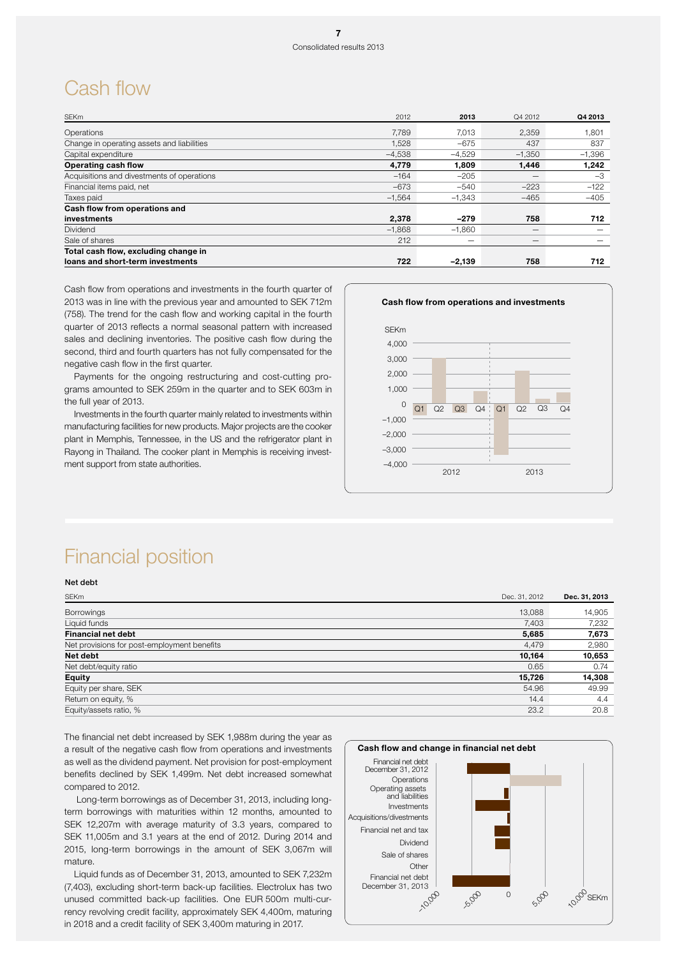## Cash flow

| <b>SEKm</b>                                | 2012     | 2013     | Q4 2012                  | Q4 2013  |
|--------------------------------------------|----------|----------|--------------------------|----------|
| Operations                                 | 7.789    | 7.013    | 2.359                    | .801     |
| Change in operating assets and liabilities | 1,528    | $-675$   | 437                      | 837      |
| Capital expenditure                        | $-4.538$ | $-4.529$ | $-1.350$                 | $-1,396$ |
| Operating cash flow                        | 4,779    | 1.809    | 1,446                    | 1,242    |
| Acquisitions and divestments of operations | $-164$   | $-205$   |                          | $-3$     |
| Financial items paid, net                  | $-673$   | $-540$   | $-223$                   | $-122$   |
| Taxes paid                                 | $-1,564$ | $-1.343$ | $-465$                   | $-405$   |
| Cash flow from operations and              |          |          |                          |          |
| investments                                | 2,378    | $-279$   | 758                      | 712      |
| Dividend                                   | $-1.868$ | $-1.860$ |                          |          |
| Sale of shares                             | 212      |          | $\overline{\phantom{a}}$ |          |
| Total cash flow, excluding change in       |          |          |                          |          |
| loans and short-term investments           | 722      | $-2,139$ | 758                      | 712      |

Cash flow from operations and investments in the fourth quarter of 2013 was in line with the previous year and amounted to SEK 712m (758). The trend for the cash flow and working capital in the fourth quarter of 2013 reflects a normal seasonal pattern with increased sales and declining inventories. The positive cash flow during the second, third and fourth quarters has not fully compensated for the negative cash flow in the first quarter.

Payments for the ongoing restructuring and cost-cutting programs amounted to SEK 259m in the quarter and to SEK 603m in the full year of 2013.

Investments in the fourth quarter mainly related to investments within manufacturing facilities for new products. Major projects are the cooker plant in Memphis, Tennessee, in the US and the refrigerator plant in Rayong in Thailand. The cooker plant in Memphis is receiving investment support from state authorities.



# Financial position

Net debt

| <b>SEKm</b><br>Dec. 31, 2012                         | Dec. 31, 2013 |
|------------------------------------------------------|---------------|
| 13,088<br><b>Borrowings</b>                          | 14,905        |
| Liquid funds<br>7,403                                | 7,232         |
| <b>Financial net debt</b><br>5,685                   | 7,673         |
| Net provisions for post-employment benefits<br>4,479 | 2,980         |
| Net debt<br>10,164                                   | 10,653        |
| Net debt/equity ratio<br>0.65                        | 0.74          |
| <b>Equity</b><br>15,726                              | 14,308        |
| Equity per share, SEK<br>54.96                       | 49.99         |
| Return on equity, %<br>14.4                          | 4.4           |
| Equity/assets ratio, %<br>23.2                       | 20.8          |

The financial net debt increased by SEK 1,988m during the year as a result of the negative cash flow from operations and investments as well as the dividend payment. Net provision for post-employment benefits declined by SEK 1,499m. Net debt increased somewhat compared to 2012.

 Long-term borrowings as of December 31, 2013, including longterm borrowings with maturities within 12 months, amounted to SEK 12,207m with average maturity of 3.3 years, compared to SEK 11,005m and 3.1 years at the end of 2012. During 2014 and 2015, long-term borrowings in the amount of SEK 3,067m will mature.

Liquid funds as of December 31, 2013, amounted to SEK 7,232m (7,403), excluding short-term back-up facilities. Electrolux has two unused committed back-up facilities. One EUR 500m multi-currency revolving credit facility, approximately SEK 4,400m, maturing in 2018 and a credit facility of SEK 3,400m maturing in 2017.

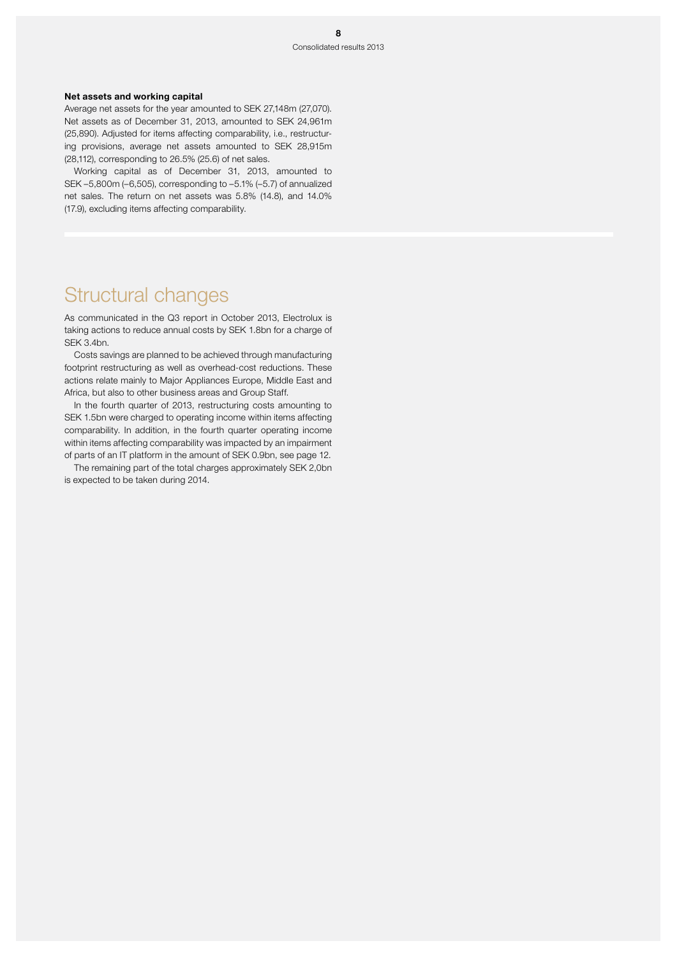### Net assets and working capital

Average net assets for the year amounted to SEK 27,148m (27,070). Net assets as of December 31, 2013, amounted to SEK 24,961m (25,890). Adjusted for items affecting comparability, i.e., restructuring provisions, average net assets amounted to SEK 28,915m (28,112), corresponding to 26.5% (25.6) of net sales.

Working capital as of December 31, 2013, amounted to SEK –5,800m (–6,505), corresponding to –5.1% (–5.7) of annualized net sales. The return on net assets was 5.8% (14.8), and 14.0% (17.9), excluding items affecting comparability.

## Structural changes

As communicated in the Q3 report in October 2013, Electrolux is taking actions to reduce annual costs by SEK 1.8bn for a charge of SEK 3.4bn.

Costs savings are planned to be achieved through manufacturing footprint restructuring as well as overhead-cost reductions. These actions relate mainly to Major Appliances Europe, Middle East and Africa, but also to other business areas and Group Staff.

In the fourth quarter of 2013, restructuring costs amounting to SEK 1.5bn were charged to operating income within items affecting comparability. In addition, in the fourth quarter operating income within items affecting comparability was impacted by an impairment of parts of an IT platform in the amount of SEK 0.9bn, see page 12.

The remaining part of the total charges approximately SEK 2,0bn is expected to be taken during 2014.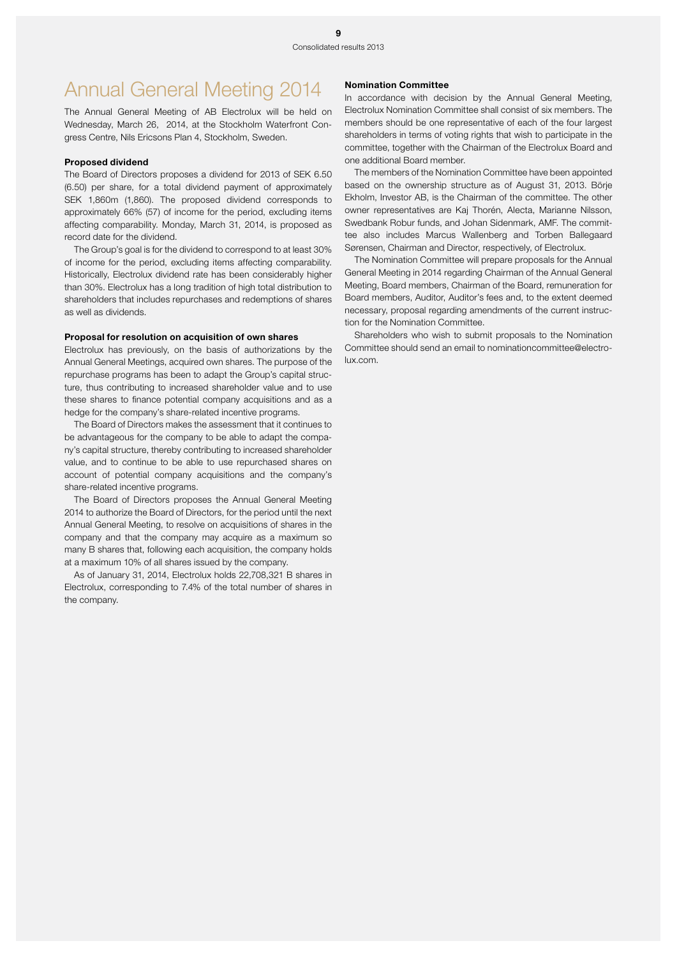# Annual General Meeting 2014

The Annual General Meeting of AB Electrolux will be held on Wednesday, March 26, 2014, at the Stockholm Waterfront Congress Centre, Nils Ericsons Plan 4, Stockholm, Sweden.

### Proposed dividend

The Board of Directors proposes a dividend for 2013 of SEK 6.50 (6.50) per share, for a total dividend payment of approximately SEK 1,860m (1,860). The proposed dividend corresponds to approximately 66% (57) of income for the period, excluding items affecting comparability. Monday, March 31, 2014, is proposed as record date for the dividend.

The Group's goal is for the dividend to correspond to at least 30% of income for the period, excluding items affecting comparability. Historically, Electrolux dividend rate has been considerably higher than 30%. Electrolux has a long tradition of high total distribution to shareholders that includes repurchases and redemptions of shares as well as dividends.

### Proposal for resolution on acquisition of own shares

Electrolux has previously, on the basis of authorizations by the Annual General Meetings, acquired own shares. The purpose of the repurchase programs has been to adapt the Group's capital structure, thus contributing to increased shareholder value and to use these shares to finance potential company acquisitions and as a hedge for the company's share-related incentive programs.

The Board of Directors makes the assessment that it continues to be advantageous for the company to be able to adapt the company's capital structure, thereby contributing to increased shareholder value, and to continue to be able to use repurchased shares on account of potential company acquisitions and the company's share-related incentive programs.

The Board of Directors proposes the Annual General Meeting 2014 to authorize the Board of Directors, for the period until the next Annual General Meeting, to resolve on acquisitions of shares in the company and that the company may acquire as a maximum so many B shares that, following each acquisition, the company holds at a maximum 10% of all shares issued by the company.

As of January 31, 2014, Electrolux holds 22,708,321 B shares in Electrolux, corresponding to 7.4% of the total number of shares in the company.

#### Nomination Committee

In accordance with decision by the Annual General Meeting, Electrolux Nomination Committee shall consist of six members. The members should be one representative of each of the four largest shareholders in terms of voting rights that wish to participate in the committee, together with the Chairman of the Electrolux Board and one additional Board member.

The members of the Nomination Committee have been appointed based on the ownership structure as of August 31, 2013. Börje Ekholm, Investor AB, is the Chairman of the committee. The other owner representatives are Kaj Thorén, Alecta, Marianne Nilsson, Swedbank Robur funds, and Johan Sidenmark, AMF. The committee also includes Marcus Wallenberg and Torben Ballegaard Sørensen, Chairman and Director, respectively, of Electrolux.

The Nomination Committee will prepare proposals for the Annual General Meeting in 2014 regarding Chairman of the Annual General Meeting, Board members, Chairman of the Board, remuneration for Board members, Auditor, Auditor's fees and, to the extent deemed necessary, proposal regarding amendments of the current instruction for the Nomination Committee.

Shareholders who wish to submit proposals to the Nomination Committee should send an email to nominationcommittee@electrolux.com.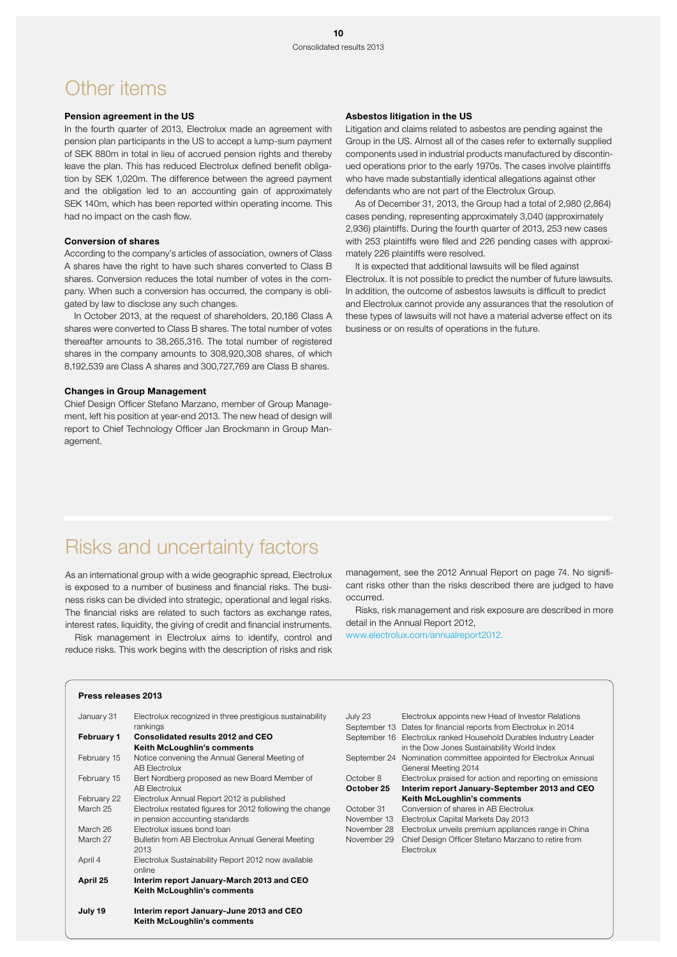## Other items

### Pension agreement in the US

In the fourth quarter of 2013, Electrolux made an agreement with pension plan participants in the US to accept a lump-sum payment of SEK 880m in total in lieu of accrued pension rights and thereby leave the plan. This has reduced Electrolux defined benefit obligation by SEK 1,020m. The difference between the agreed payment and the obligation led to an accounting gain of approximately SEK 140m, which has been reported within operating income. This had no impact on the cash flow.

#### Conversion of shares

According to the company's articles of association, owners of Class A shares have the right to have such shares converted to Class B shares. Conversion reduces the total number of votes in the company. When such a conversion has occurred, the company is obligated by law to disclose any such changes.

In October 2013, at the request of shareholders, 20,186 Class A shares were converted to Class B shares. The total number of votes thereafter amounts to 38,265,316. The total number of registered shares in the company amounts to 308,920,308 shares, of which 8,192,539 are Class A shares and 300,727,769 are Class B shares.

#### Changes in Group Management

Chief Design Officer Stefano Marzano, member of Group Management, left his position at year-end 2013. The new head of design will report to Chief Technology Officer Jan Brockmann in Group Management.

### Asbestos litigation in the US

Litigation and claims related to asbestos are pending against the Group in the US. Almost all of the cases refer to externally supplied components used in industrial products manufactured by discontinued operations prior to the early 1970s. The cases involve plaintiffs who have made substantially identical allegations against other defendants who are not part of the Electrolux Group.

As of December 31, 2013, the Group had a total of 2,980 (2,864) cases pending, representing approximately 3,040 (approximately 2,936) plaintiffs. During the fourth quarter of 2013, 253 new cases with 253 plaintiffs were filed and 226 pending cases with approximately 226 plaintiffs were resolved.

It is expected that additional lawsuits will be filed against Electrolux. It is not possible to predict the number of future lawsuits. In addition, the outcome of asbestos lawsuits is difficult to predict and Electrolux cannot provide any assurances that the resolution of these types of lawsuits will not have a material adverse effect on its business or on results of operations in the future.

## Risks and uncertainty factors

As an international group with a wide geographic spread, Electrolux is exposed to a number of business and financial risks. The business risks can be divided into strategic, operational and legal risks. The financial risks are related to such factors as exchange rates, interest rates, liquidity, the giving of credit and financial instruments.

Risk management in Electrolux aims to identify, control and reduce risks. This work begins with the description of risks and risk management, see the 2012 Annual Report on page 74. No significant risks other than the risks described there are judged to have occurred.

Risks, risk management and risk exposure are described in more detail in the Annual Report 2012,

www.electrolux.com/annualreport2012.

### Press releases 2013

| January 31        | Electrolux recognized in three prestigious sustainability<br>rankings                        |
|-------------------|----------------------------------------------------------------------------------------------|
| <b>February 1</b> | <b>Consolidated results 2012 and CEO</b>                                                     |
|                   | Keith McLoughlin's comments                                                                  |
| February 15       | Notice convening the Annual General Meeting of<br><b>AB Electrolux</b>                       |
| February 15       | Bert Nordberg proposed as new Board Member of<br><b>AB Electrolux</b>                        |
| February 22       | Electrolux Annual Report 2012 is published                                                   |
| March 25          | Electrolux restated figures for 2012 following the change<br>in pension accounting standards |
| March 26          | Electrolux issues bond loan                                                                  |
| March 27          | Bulletin from AB Electrolux Annual General Meeting<br>2013                                   |
| April 4           | Electrolux Sustainability Report 2012 now available<br>online                                |
| April 25          | Interim report January-March 2013 and CEO<br>Keith McLoughlin's comments                     |
| July 19           | Interim report January-June 2013 and CEO                                                     |

Keith McLoughlin's comments

| July 23     | Electrolux appoints new Head of Investor Relations                |
|-------------|-------------------------------------------------------------------|
|             | September 13 Dates for financial reports from Electrolux in 2014  |
|             | September 16 Electrolux ranked Household Durables Industry Leader |
|             | in the Dow Jones Sustainability World Index                       |
|             | September 24 Nomination committee appointed for Electrolux Annual |
|             | General Meeting 2014                                              |
| October 8   | Electrolux praised for action and reporting on emissions          |
| October 25  |                                                                   |
|             | Interim report January-September 2013 and CEO                     |
|             | <b>Keith McLoughlin's comments</b>                                |
| October 31  | Conversion of shares in AB Electrolux                             |
| November 13 | Electrolux Capital Markets Day 2013                               |
| November 28 | Electrolux unveils premium appliances range in China              |
| November 29 | Chief Design Officer Stefano Marzano to retire from               |
|             | Electrolux                                                        |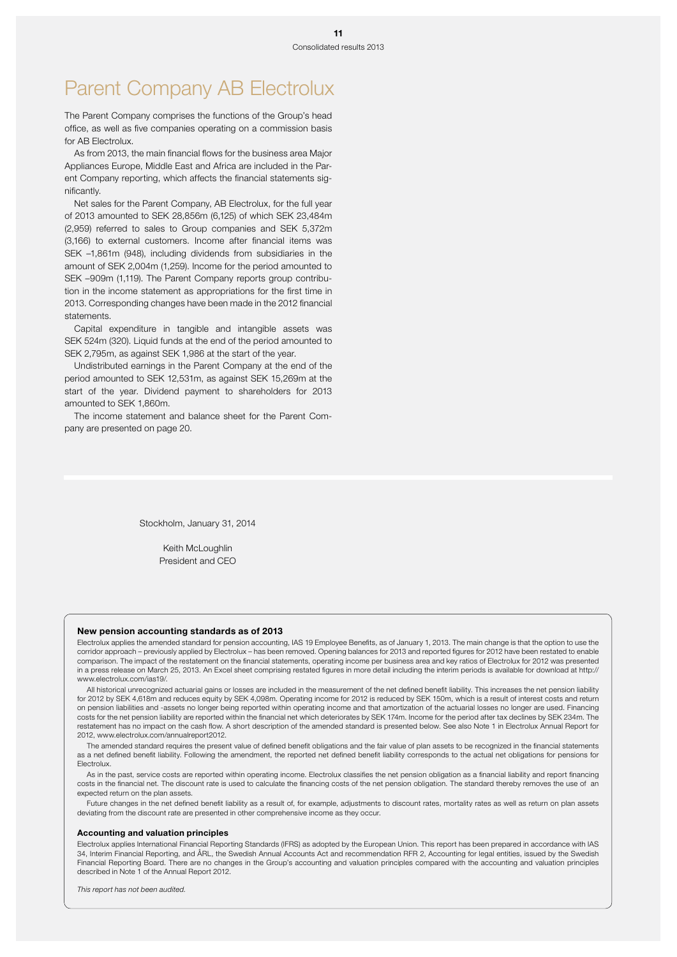# Parent Company AB Electrolux

The Parent Company comprises the functions of the Group's head office, as well as five companies operating on a commission basis for AB Electrolux.

As from 2013, the main financial flows for the business area Major Appliances Europe, Middle East and Africa are included in the Parent Company reporting, which affects the financial statements significantly.

Net sales for the Parent Company, AB Electrolux, for the full year of 2013 amounted to SEK 28,856m (6,125) of which SEK 23,484m (2,959) referred to sales to Group companies and SEK 5,372m (3,166) to external customers. Income after financial items was SEK –1,861m (948), including dividends from subsidiaries in the amount of SEK 2,004m (1,259). Income for the period amounted to SEK –909m (1,119). The Parent Company reports group contribution in the income statement as appropriations for the first time in 2013. Corresponding changes have been made in the 2012 financial statements.

Capital expenditure in tangible and intangible assets was SEK 524m (320). Liquid funds at the end of the period amounted to SEK 2,795m, as against SEK 1,986 at the start of the year.

Undistributed earnings in the Parent Company at the end of the period amounted to SEK 12,531m, as against SEK 15,269m at the start of the year. Dividend payment to shareholders for 2013 amounted to SEK 1,860m.

The income statement and balance sheet for the Parent Company are presented on page 20.

Stockholm, January 31, 2014

Keith McLoughlin President and CEO

#### New pension accounting standards as of 2013

Electrolux applies the amended standard for pension accounting, IAS 19 Employee Benefits, as of January 1, 2013. The main change is that the option to use the corridor approach – previously applied by Electrolux – has been removed. Opening balances for 2013 and reported figures for 2012 have been restated to enable comparison. The impact of the restatement on the financial statements, operating income per business area and key ratios of Electrolux for 2012 was presented in a press release on March 25, 2013. An Excel sheet comprising restated figures in more detail including the interim periods is available for download at http:// www.electrolux.com/ias19/.

All historical unrecognized actuarial gains or losses are included in the measurement of the net defined benefit liability. This increases the net pension liability for 2012 by SEK 4,618m and reduces equity by SEK 4,098m. Operating income for 2012 is reduced by SEK 150m, which is a result of interest costs and return on pension liabilities and -assets no longer being reported within operating income and that amortization of the actuarial losses no longer are used. Financing costs for the net pension liability are reported within the financial net which deteriorates by SEK 174m. Income for the period after tax declines by SEK 234m. The restatement has no impact on the cash flow. A short description of the amended standard is presented below. See also Note 1 in Electrolux Annual Report for 2012, www.electrolux.com/annualreport2012.

The amended standard requires the present value of defined benefit obligations and the fair value of plan assets to be recognized in the financial statements as a net defined benefit liability. Following the amendment, the reported net defined benefit liability corresponds to the actual net obligations for pensions for Electrolux.

As in the past, service costs are reported within operating income. Electrolux classifies the net pension obligation as a financial liability and report financing costs in the financial net. The discount rate is used to calculate the financing costs of the net pension obligation. The standard thereby removes the use of an expected return on the plan assets.

Future changes in the net defined benefit liability as a result of, for example, adjustments to discount rates, mortality rates as well as return on plan assets deviating from the discount rate are presented in other comprehensive income as they occur.

#### Accounting and valuation principles

Electrolux applies International Financial Reporting Standards (IFRS) as adopted by the European Union. This report has been prepared in accordance with IAS 34, Interim Financial Reporting, and ÅRL, the Swedish Annual Accounts Act and recommendation RFR 2, Accounting for legal entities, issued by the Swedish Financial Reporting Board. There are no changes in the Group's accounting and valuation principles compared with the accounting and valuation principles described in Note 1 of the Annual Report 2012.

*This report has not been audited.*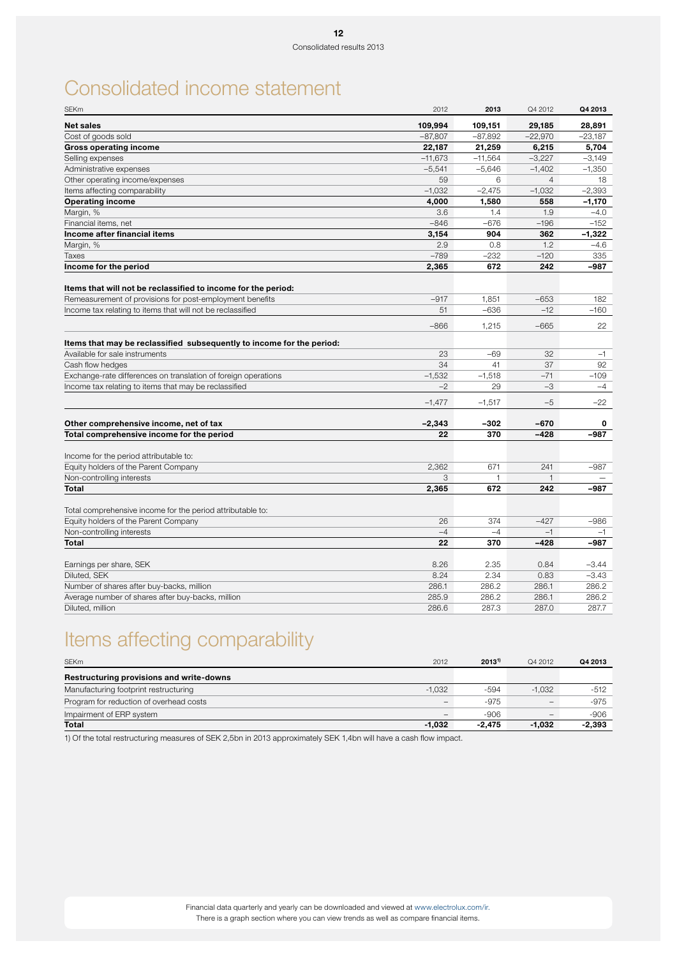# Consolidated income statement

| <b>SEKm</b>                                                           | 2012       | 2013      | Q4 2012             | Q4 2013   |
|-----------------------------------------------------------------------|------------|-----------|---------------------|-----------|
| <b>Net sales</b>                                                      | 109,994    | 109,151   | 29,185              | 28,891    |
| Cost of goods sold                                                    | $-87,807$  | $-87,892$ | $-22,970$           | $-23,187$ |
| <b>Gross operating income</b>                                         | 22,187     | 21,259    | 6,215               | 5,704     |
| Selling expenses                                                      | $-11,673$  | $-11,564$ | $-3,227$            | $-3,149$  |
| Administrative expenses                                               | $-5,541$   | $-5,646$  | $-1,402$            | $-1,350$  |
| Other operating income/expenses                                       | 59         | 6         | $\overline{4}$      | 18        |
| Items affecting comparability                                         | $-1.032$   | $-2,475$  | $-1,032$            | $-2.393$  |
| <b>Operating income</b>                                               | 4,000      | 1,580     | 558                 | $-1,170$  |
| Margin, %                                                             | 3.6        | 1.4       | 1.9                 | $-4.0$    |
| Financial items, net                                                  | $-846$     | $-676$    | $-196$              | $-152$    |
| Income after financial items                                          | 3,154      | 904       | 362                 | $-1,322$  |
| Margin, %                                                             | 2.9        | 0.8       | 1.2                 | $-4.6$    |
| <b>Taxes</b>                                                          | $-789$     | $-232$    | $-120$              | 335       |
| Income for the period                                                 | 2,365      | 672       | 242                 | -987      |
|                                                                       |            |           |                     |           |
| Items that will not be reclassified to income for the period:         |            |           |                     |           |
| Remeasurement of provisions for post-employment benefits              | $-917$     | 1.851     | $-653$              | 182       |
| Income tax relating to items that will not be reclassified            | 51         | $-636$    | $-12$               | $-160$    |
|                                                                       | $-866$     | 1,215     | $-665$              | 22        |
| Items that may be reclassified subsequently to income for the period: |            |           |                     |           |
| Available for sale instruments                                        | 23         | $-69$     | 32                  | $-1$      |
| Cash flow hedges                                                      | 34         | 41        | 37                  | 92        |
| Exchange-rate differences on translation of foreign operations        | $-1.532$   | $-1,518$  | $-71$               | $-109$    |
| Income tax relating to items that may be reclassified                 | $-2$       | 29        | $-3$                | $-4$      |
|                                                                       |            | $-1,517$  | $-5$                |           |
|                                                                       | $-1,477$   |           |                     | -22       |
| Other comprehensive income, net of tax                                | $-2,343$   | $-302$    | $-670$              | 0         |
| Total comprehensive income for the period                             | 22         | 370       | $-428$              | $-987$    |
|                                                                       |            |           |                     |           |
| Income for the period attributable to:                                |            |           |                     |           |
| Equity holders of the Parent Company                                  | 2,362      | 671       | 241                 | $-987$    |
| Non-controlling interests<br>Total                                    | 3<br>2.365 | 1<br>672  | $\mathbf{1}$<br>242 | -987      |
|                                                                       |            |           |                     |           |
| Total comprehensive income for the period attributable to:            |            |           |                     |           |
| Equity holders of the Parent Company                                  | 26         | 374       | $-427$              | $-986$    |
| Non-controlling interests                                             | $-4$       | $-4$      | $-1$                | $-1$      |
| Total                                                                 | 22         | 370       | $-428$              | -987      |
|                                                                       |            |           |                     |           |
| Earnings per share, SEK                                               | 8.26       | 2.35      | 0.84                | $-3.44$   |
| Diluted, SEK                                                          | 8.24       | 2.34      | 0.83                | $-3.43$   |
| Number of shares after buy-backs, million                             | 286.1      | 286.2     | 286.1               | 286.2     |
| Average number of shares after buy-backs, million                     | 285.9      | 286.2     | 286.1               | 286.2     |
| Diluted, million                                                      | 286.6      | 287.3     | 287.0               | 287.7     |

# Items affecting comparability

| <b>SEKm</b>                              | 2012     | $2013^{1}$ | Q4 2012                  | Q4 2013  |
|------------------------------------------|----------|------------|--------------------------|----------|
| Restructuring provisions and write-downs |          |            |                          |          |
| Manufacturing footprint restructuring    | $-1.032$ | -594       | $-1.032$                 | -512     |
| Program for reduction of overhead costs  | $\equiv$ | $-975$     | $\equiv$                 | -975     |
| Impairment of ERP system                 | $-$      | $-906$     | $\overline{\phantom{0}}$ | $-906$   |
| Total                                    | $-1.032$ | $-2.475$   | $-1.032$                 | $-2,393$ |

1) Of the total restructuring measures of SEK 2,5bn in 2013 approximately SEK 1,4bn will have a cash flow impact.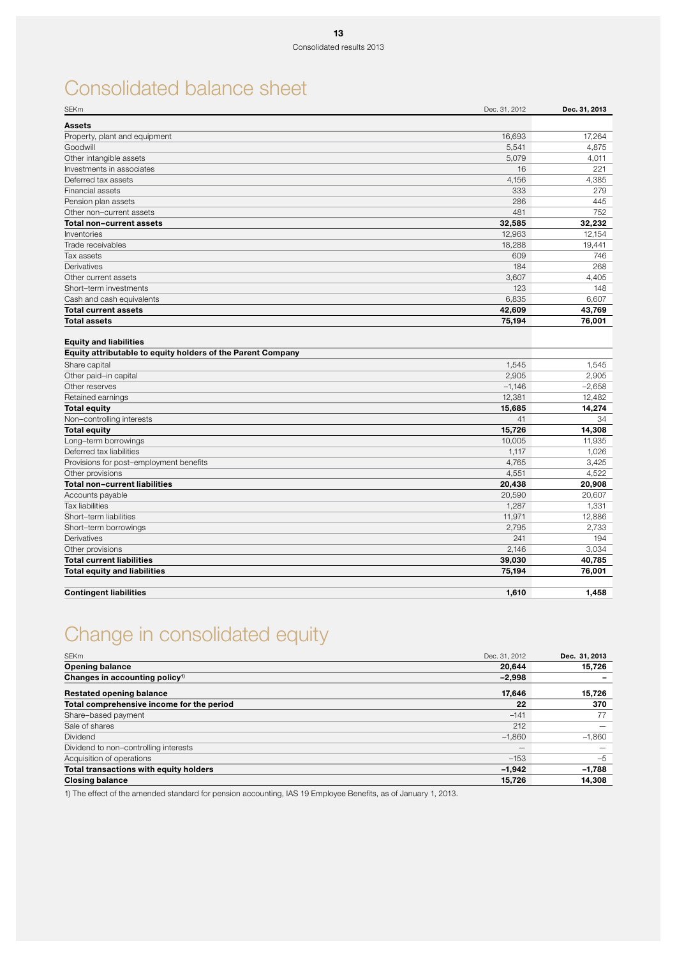# Consolidated balance sheet

| <b>SEKm</b>                                                                                  | Dec. 31, 2012 | Dec. 31, 2013 |
|----------------------------------------------------------------------------------------------|---------------|---------------|
| <b>Assets</b>                                                                                |               |               |
| Property, plant and equipment                                                                | 16,693        | 17,264        |
| Goodwill                                                                                     | 5,541         | 4,875         |
| Other intangible assets                                                                      | 5,079         | 4,011         |
| Investments in associates                                                                    | 16            | 221           |
| Deferred tax assets                                                                          | 4,156         | 4,385         |
| <b>Financial assets</b>                                                                      | 333           | 279           |
| Pension plan assets                                                                          | 286           | 445           |
| Other non-current assets                                                                     | 481           | 752           |
| Total non-current assets                                                                     | 32,585        | 32,232        |
| Inventories                                                                                  | 12,963        | 12,154        |
| Trade receivables                                                                            | 18,288        | 19,441        |
| Tax assets                                                                                   | 609           | 746           |
| Derivatives                                                                                  | 184           | 268           |
| Other current assets                                                                         | 3,607         | 4,405         |
| Short-term investments                                                                       | 123           | 148           |
| Cash and cash equivalents                                                                    | 6,835         | 6.607         |
| <b>Total current assets</b>                                                                  | 42,609        | 43,769        |
| <b>Total assets</b>                                                                          | 75,194        | 76,001        |
| <b>Equity and liabilities</b><br>Equity attributable to equity holders of the Parent Company |               |               |
| Share capital                                                                                | 1,545         | 1,545         |
| Other paid-in capital                                                                        | 2,905         | 2,905         |
| Other reserves                                                                               | $-1,146$      | $-2,658$      |
| Retained earnings                                                                            | 12.381        | 12.482        |
| <b>Total equity</b>                                                                          | 15,685        | 14,274        |
| Non-controlling interests                                                                    | 41            | 34            |
| <b>Total equity</b>                                                                          | 15,726        | 14,308        |
| Long-term borrowings                                                                         | 10,005        | 11,935        |
| Deferred tax liabilities                                                                     | 1,117         | 1,026         |
| Provisions for post-employment benefits                                                      | 4,765         | 3,425         |
| Other provisions                                                                             | 4,551         | 4,522         |
| <b>Total non-current liabilities</b>                                                         | 20,438        | 20,908        |
| Accounts payable                                                                             | 20,590        | 20,607        |
| <b>Tax liabilities</b>                                                                       | 1,287         | 1,331         |
| Short-term liabilities                                                                       | 11,971        | 12,886        |
| Short-term borrowings                                                                        | 2,795         | 2,733         |
| Derivatives                                                                                  | 241           | 194           |
| Other provisions                                                                             | 2,146         | 3,034         |
| <b>Total current liabilities</b>                                                             | 39,030        | 40,785        |
| <b>Total equity and liabilities</b>                                                          | 75,194        | 76,001        |
| <b>Contingent liabilities</b>                                                                | 1,610         | 1,458         |

# Change in consolidated equity

| <b>SEKm</b>                                | Dec. 31, 2012     | Dec. 31, 2013 |
|--------------------------------------------|-------------------|---------------|
| <b>Opening balance</b>                     | 20.644            | 15,726        |
| Changes in accounting policy <sup>1)</sup> | $-2,998$          |               |
| <b>Restated opening balance</b>            | 17,646            | 15,726        |
| Total comprehensive income for the period  | 22                | 370           |
| Share-based payment                        | $-141$            | 77            |
| Sale of shares                             | 212               |               |
| Dividend                                   | $-1.860$          | $-1,860$      |
| Dividend to non-controlling interests      | $\qquad \qquad -$ |               |
| Acquisition of operations                  | $-153$            | $-5$          |
| Total transactions with equity holders     | $-1,942$          | $-1,788$      |
| <b>Closing balance</b>                     | 15,726            | 14,308        |

1) The effect of the amended standard for pension accounting, IAS 19 Employee Benefits, as of January 1, 2013.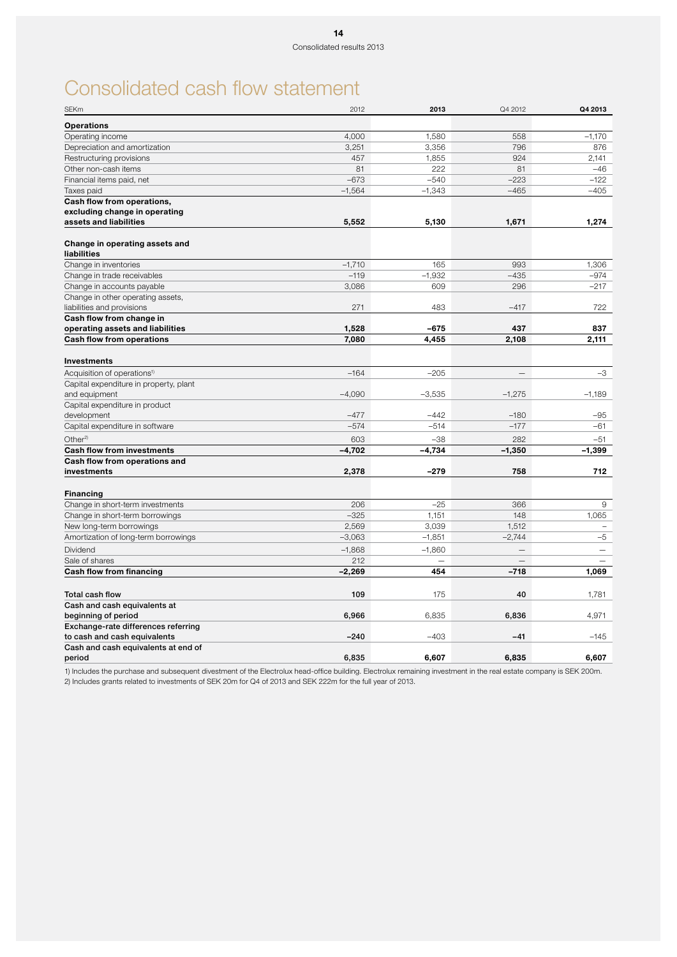# Consolidated cash flow statement

| <b>SEKm</b>                             | 2012     | 2013     | Q4 2012                  | Q4 2013                  |
|-----------------------------------------|----------|----------|--------------------------|--------------------------|
| <b>Operations</b>                       |          |          |                          |                          |
| Operating income                        | 4,000    | 1,580    | 558                      | $-1,170$                 |
| Depreciation and amortization           | 3,251    | 3,356    | 796                      | 876                      |
| Restructuring provisions                | 457      | 1,855    | 924                      | 2.141                    |
| Other non-cash items                    | 81       | 222      | 81                       | $-46$                    |
| Financial items paid, net               | $-673$   | $-540$   | $-223$                   | $-122$                   |
| Taxes paid                              | $-1,564$ | $-1,343$ | $-465$                   | $-405$                   |
| Cash flow from operations,              |          |          |                          |                          |
| excluding change in operating           |          |          |                          |                          |
| assets and liabilities                  | 5.552    | 5,130    | 1,671                    | 1.274                    |
|                                         |          |          |                          |                          |
| Change in operating assets and          |          |          |                          |                          |
| liabilities                             |          |          |                          |                          |
| Change in inventories                   | $-1,710$ | 165      | 993                      | 1,306                    |
| Change in trade receivables             | $-119$   | $-1,932$ | $-435$                   | $-974$                   |
| Change in accounts payable              | 3,086    | 609      | 296                      | $-217$                   |
| Change in other operating assets,       |          |          |                          |                          |
| liabilities and provisions              | 271      | 483      | $-417$                   | 722                      |
| Cash flow from change in                |          |          |                          |                          |
| operating assets and liabilities        | 1,528    | -675     | 437                      | 837                      |
| <b>Cash flow from operations</b>        | 7,080    | 4,455    | 2.108                    | 2,111                    |
| <b>Investments</b>                      |          |          |                          |                          |
| Acquisition of operations <sup>1)</sup> | $-164$   | $-205$   |                          | $-3$                     |
| Capital expenditure in property, plant  |          |          |                          |                          |
| and equipment                           | $-4,090$ | $-3,535$ | $-1,275$                 | $-1,189$                 |
| Capital expenditure in product          |          |          |                          |                          |
| development                             | $-477$   | $-442$   | $-180$                   | $-95$                    |
| Capital expenditure in software         | $-574$   | $-514$   | $-177$                   | $-61$                    |
| Other <sup>2)</sup>                     | 603      | $-38$    | 282                      | $-51$                    |
| <b>Cash flow from investments</b>       | $-4,702$ | $-4,734$ | $-1,350$                 | $-1,399$                 |
| Cash flow from operations and           |          |          |                          |                          |
| investments                             | 2,378    | $-279$   | 758                      | 712                      |
|                                         |          |          |                          |                          |
| <b>Financing</b>                        |          |          |                          |                          |
| Change in short-term investments        | 206      | $-25$    | 366                      | 9                        |
| Change in short-term borrowings         | $-325$   | 1,151    | 148                      | 1,065                    |
| New long-term borrowings                | 2,569    | 3,039    | 1,512                    |                          |
| Amortization of long-term borrowings    | $-3,063$ | $-1,851$ | $-2,744$                 | $-5$                     |
| Dividend                                | $-1,868$ | $-1,860$ | $\equiv$                 | $\overline{\phantom{0}}$ |
| Sale of shares                          | 212      |          | $\overline{\phantom{0}}$ |                          |
| Cash flow from financing                | $-2,269$ | 454      | $-718$                   | 1,069                    |
|                                         |          |          |                          |                          |
| Total cash flow                         | 109      | 175      | 40                       | 1,781                    |
| Cash and cash equivalents at            |          |          |                          |                          |
| beginning of period                     | 6,966    | 6,835    | 6,836                    | 4,971                    |
| Exchange-rate differences referring     |          |          |                          |                          |
| to cash and cash equivalents            | $-240$   | $-403$   | $-41$                    | $-145$                   |
| Cash and cash equivalents at end of     |          |          |                          |                          |
| period                                  | 6,835    | 6,607    | 6,835                    | 6,607                    |

1) Includes the purchase and subsequent divestment of the Electrolux head-office building. Electrolux remaining investment in the real estate company is SEK 200m. 2) Includes grants related to investments of SEK 20m for Q4 of 2013 and SEK 222m for the full year of 2013.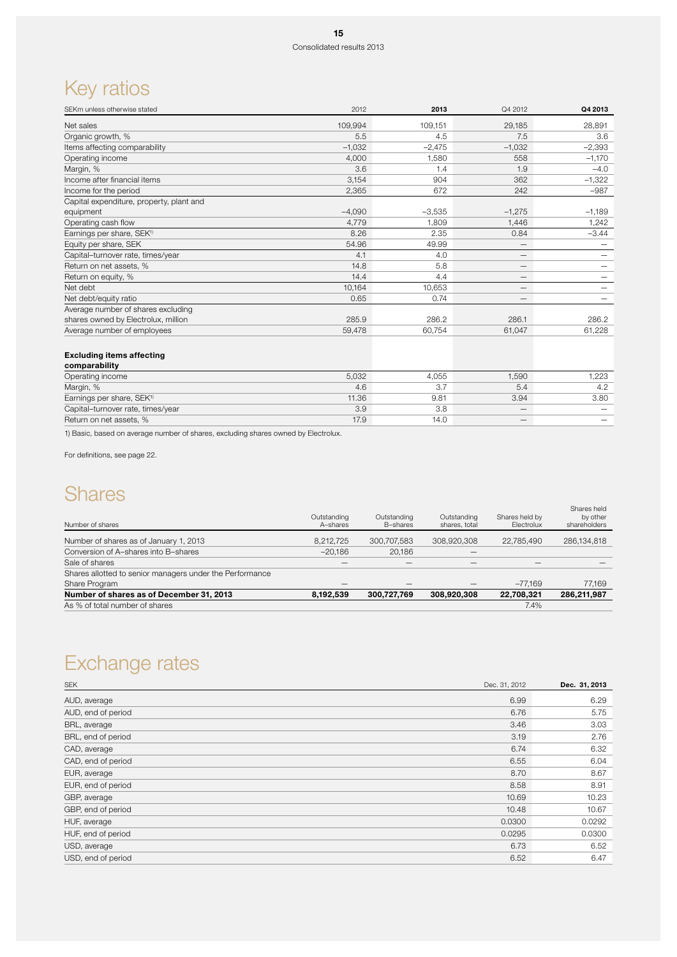# Key ratios

| 109,994  | 109,151  | 29,185                   | 28,891   |
|----------|----------|--------------------------|----------|
| 5.5      | 4.5      | 7.5                      | 3.6      |
| $-1,032$ | $-2,475$ | $-1,032$                 | $-2,393$ |
| 4,000    | 1,580    | 558                      | $-1,170$ |
| 3.6      | 1.4      | 1.9                      | $-4.0$   |
| 3,154    | 904      | 362                      | $-1,322$ |
| 2,365    | 672      | 242                      | $-987$   |
|          |          |                          |          |
| $-4.090$ | $-3,535$ | $-1,275$                 | $-1,189$ |
| 4,779    | 1,809    | 1,446                    | 1,242    |
| 8.26     | 2.35     | 0.84                     | $-3.44$  |
| 54.96    | 49.99    | $\overline{\phantom{m}}$ |          |
| 4.1      | 4.0      |                          |          |
| 14.8     | 5.8      | $\overline{\phantom{m}}$ |          |
| 14.4     | 4.4      | $\overline{\phantom{m}}$ |          |
| 10.164   | 10.653   | $\overline{\phantom{m}}$ |          |
| 0.65     | 0.74     | $\overline{\phantom{m}}$ |          |
|          |          |                          |          |
| 285.9    | 286.2    | 286.1                    | 286.2    |
| 59,478   | 60,754   | 61,047                   | 61,228   |
|          |          |                          |          |

### Excluding items affecting

| comparability                         |       |       |       |       |
|---------------------------------------|-------|-------|-------|-------|
| Operating income                      | 5,032 | 4.055 | 1.590 | 1.223 |
| Margin, %                             | 4.6   |       | 5.4   |       |
| Earnings per share, SEK <sup>1)</sup> | 11.36 | 9.81  | 3.94  | 3.80  |
| Capital-turnover rate, times/year     | 3.9   | 3.8   |       |       |
| Return on net assets, %               | 17.9  | 14.0  | –     |       |

1) Basic, based on average number of shares, excluding shares owned by Electrolux.

For definitions, see page 22.

## **Shares**

|                                                          | Outstanding | Outstanding | Outstanding   | Shares held by | Shares held<br>by other |
|----------------------------------------------------------|-------------|-------------|---------------|----------------|-------------------------|
| Number of shares                                         | A-shares    | B-shares    | shares, total | Electrolux     | shareholders            |
| Number of shares as of January 1, 2013                   | 8.212.725   | 300.707.583 | 308.920.308   | 22.785.490     | 286,134,818             |
| Conversion of A-shares into B-shares                     | $-20.186$   | 20.186      |               |                |                         |
| Sale of shares                                           |             | –           | –             |                |                         |
| Shares allotted to senior managers under the Performance |             |             |               |                |                         |
| Share Program                                            | –           |             |               | $-77.169$      | 77.169                  |
| Number of shares as of December 31, 2013                 | 8,192,539   | 300,727,769 | 308,920,308   | 22,708,321     | 286.211.987             |
| As % of total number of shares                           |             |             |               | 7.4%           |                         |

# Exchange rates

| Dec. 31, 2012 | Dec. 31, 2013 |
|---------------|---------------|
| 6.99          | 6.29          |
| 6.76          | 5.75          |
| 3.46          | 3.03          |
| 3.19          | 2.76          |
| 6.74          | 6.32          |
| 6.55          | 6.04          |
| 8.70          | 8.67          |
| 8.58          | 8.91          |
| 10.69         | 10.23         |
| 10.48         | 10.67         |
| 0.0300        | 0.0292        |
| 0.0295        | 0.0300        |
| 6.73          | 6.52          |
| 6.52          | 6.47          |
|               |               |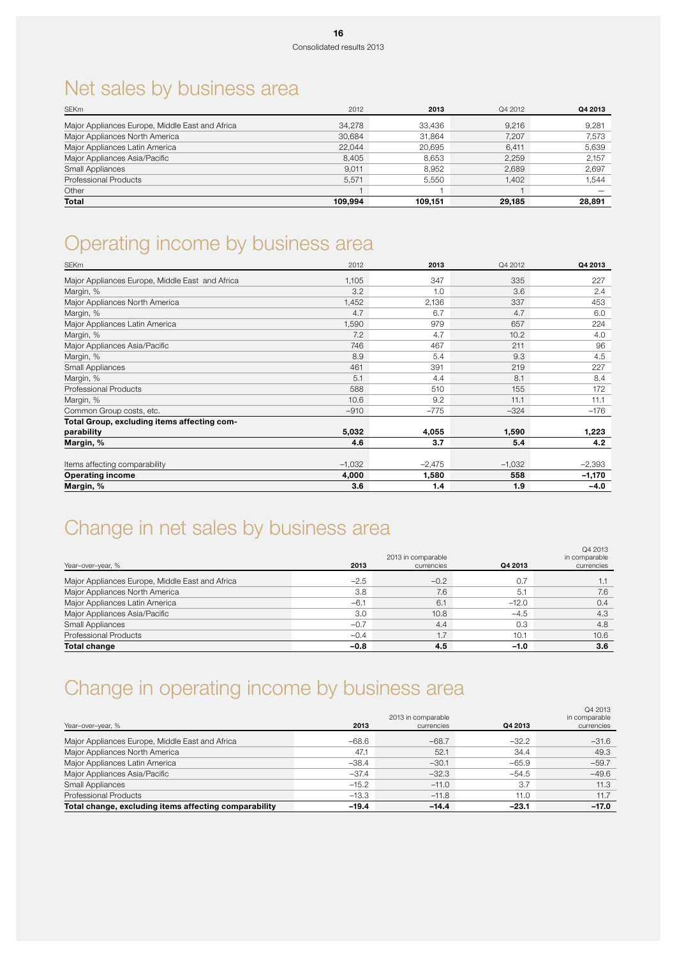# Net sales by business area

| <b>SEKm</b>                                     | 2012    | 2013    | Q4 2012 | Q4 2013 |
|-------------------------------------------------|---------|---------|---------|---------|
| Major Appliances Europe, Middle East and Africa | 34.278  | 33.436  | 9.216   | 9,281   |
| Major Appliances North America                  | 30.684  | 31.864  | 7.207   | 7,573   |
| Major Appliances Latin America                  | 22.044  | 20.695  | 6.411   | 5.639   |
| Major Appliances Asia/Pacific                   | 8.405   | 8.653   | 2.259   | 2.157   |
| Small Appliances                                | 9,011   | 8.952   | 2.689   | 2,697   |
| Professional Products                           | 5.571   | 5.550   | 1.402   | 1,544   |
| Other                                           |         |         |         |         |
| Total                                           | 109.994 | 109.151 | 29.185  | 28.891  |

# Operating income by business area

| <b>SEKm</b>                                     | 2012     | 2013     | Q4 2012  | Q4 2013  |
|-------------------------------------------------|----------|----------|----------|----------|
| Major Appliances Europe, Middle East and Africa | 1,105    | 347      | 335      | 227      |
| Margin, %                                       | 3.2      | 1.0      | 3.6      | 2.4      |
| Major Appliances North America                  | 1,452    | 2,136    | 337      | 453      |
| Margin, %                                       | 4.7      | 6.7      | 4.7      | 6.0      |
| Major Appliances Latin America                  | 1,590    | 979      | 657      | 224      |
| Margin, %                                       | 7.2      | 4.7      | 10.2     | 4.0      |
| Major Appliances Asia/Pacific                   | 746      | 467      | 211      | 96       |
| Margin, %                                       | 8.9      | 5.4      | 9.3      | 4.5      |
| Small Appliances                                | 461      | 391      | 219      | 227      |
| Margin, %                                       | 5.1      | 4.4      | 8.1      | 8.4      |
| Professional Products                           | 588      | 510      | 155      | 172      |
| Margin, %                                       | 10.6     | 9.2      | 11.1     | 11.1     |
| Common Group costs, etc.                        | $-910$   | $-775$   | $-324$   | $-176$   |
| Total Group, excluding items affecting com-     |          |          |          |          |
| parability                                      | 5,032    | 4,055    | 1,590    | 1,223    |
| Margin, %                                       | 4.6      | 3.7      | 5.4      | 4.2      |
| Items affecting comparability                   | $-1,032$ | $-2,475$ | $-1,032$ | $-2,393$ |
| <b>Operating income</b>                         | 4,000    | 1,580    | 558      | $-1,170$ |
| Margin, %                                       | 3.6      | 1.4      | 1.9      | $-4.0$   |

# Change in net sales by business area

|                                                 |        | 2013 in comparable |         | Q4 2013<br>in comparable |
|-------------------------------------------------|--------|--------------------|---------|--------------------------|
| Year-over-year, %                               | 2013   | currencies         | Q4 2013 | currencies               |
| Major Appliances Europe, Middle East and Africa | $-2.5$ | $-0.2$             | 0.7     | 1.1                      |
| Major Appliances North America                  | 3.8    | 7.6                | 5.1     | 7.6                      |
| Major Appliances Latin America                  | $-6.1$ | 6.1                | $-12.0$ | 0.4                      |
| Major Appliances Asia/Pacific                   | 3.0    | 10.8               | $-4.5$  | 4.3                      |
| <b>Small Appliances</b>                         | $-0.7$ | 4.4                | 0.3     | 4.8                      |
| <b>Professional Products</b>                    | $-0.4$ | 1.7                | 10.1    | 10.6                     |
| <b>Total change</b>                             | $-0.8$ | 4.5                | $-1.0$  | 3.6                      |

# Change in operating income by business area

| Year-over-year, %                                     | 2013    | 2013 in comparable<br>currencies | Q4 2013 | Q4 2013<br>in comparable<br>currencies |
|-------------------------------------------------------|---------|----------------------------------|---------|----------------------------------------|
| Major Appliances Europe, Middle East and Africa       | $-68.6$ | $-68.7$                          | $-32.2$ | $-31.6$                                |
| Major Appliances North America                        | 47.1    | 52.1                             | 34.4    | 49.3                                   |
| Major Appliances Latin America                        | $-38.4$ | $-30.1$                          | $-65.9$ | $-59.7$                                |
| Major Appliances Asia/Pacific                         | $-37.4$ | $-32.3$                          | $-54.5$ | $-49.6$                                |
| Small Appliances                                      | $-15.2$ | $-11.0$                          | 3.7     | 11.3                                   |
| <b>Professional Products</b>                          | $-13.3$ | $-11.8$                          | 11.0    | 11.7                                   |
| Total change, excluding items affecting comparability | $-19.4$ | $-14.4$                          | $-23.1$ | $-17.0$                                |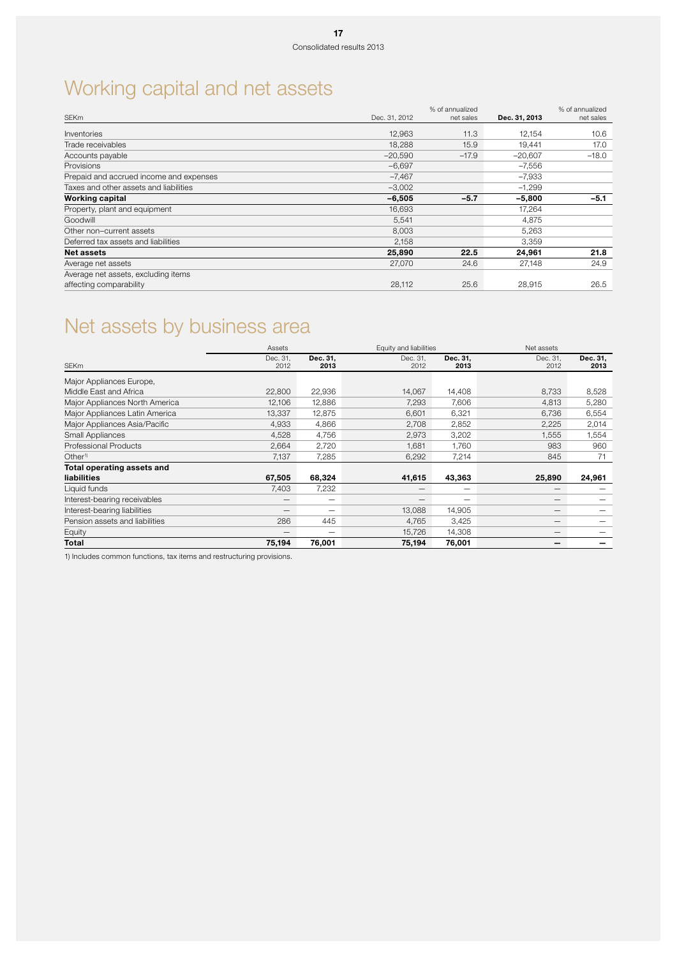# Working capital and net assets

|                                         |               | % of annualized |               | % of annualized |
|-----------------------------------------|---------------|-----------------|---------------|-----------------|
| <b>SEKm</b>                             | Dec. 31, 2012 | net sales       | Dec. 31, 2013 | net sales       |
| Inventories                             | 12,963        | 11.3            | 12,154        | 10.6            |
| Trade receivables                       | 18,288        | 15.9            | 19.441        | 17.0            |
| Accounts payable                        | $-20.590$     | $-17.9$         | $-20,607$     | $-18.0$         |
| <b>Provisions</b>                       | $-6,697$      |                 | $-7,556$      |                 |
| Prepaid and accrued income and expenses | $-7,467$      |                 | $-7,933$      |                 |
| Taxes and other assets and liabilities  | $-3,002$      |                 | $-1,299$      |                 |
| <b>Working capital</b>                  | $-6,505$      | $-5.7$          | $-5,800$      | $-5.1$          |
| Property, plant and equipment           | 16,693        |                 | 17,264        |                 |
| Goodwill                                | 5.541         |                 | 4.875         |                 |
| Other non-current assets                | 8,003         |                 | 5,263         |                 |
| Deferred tax assets and liabilities     | 2,158         |                 | 3,359         |                 |
| <b>Net assets</b>                       | 25,890        | 22.5            | 24,961        | 21.8            |
| Average net assets                      | 27,070        | 24.6            | 27,148        | 24.9            |
| Average net assets, excluding items     |               |                 |               |                 |
| affecting comparability                 | 28,112        | 25.6            | 28,915        | 26.5            |

# Net assets by business area

|                                | Assets           |                  | Equity and liabilities |                  | Net assets       |                  |
|--------------------------------|------------------|------------------|------------------------|------------------|------------------|------------------|
| <b>SEKm</b>                    | Dec. 31,<br>2012 | Dec. 31,<br>2013 | Dec. 31,<br>2012       | Dec. 31,<br>2013 | Dec. 31,<br>2012 | Dec. 31,<br>2013 |
| Major Appliances Europe,       |                  |                  |                        |                  |                  |                  |
| Middle East and Africa         | 22,800           | 22,936           | 14,067                 | 14,408           | 8,733            | 8,528            |
| Major Appliances North America | 12,106           | 12,886           | 7,293                  | 7,606            | 4,813            | 5,280            |
| Major Appliances Latin America | 13,337           | 12,875           | 6,601                  | 6,321            | 6,736            | 6,554            |
| Major Appliances Asia/Pacific  | 4,933            | 4,866            | 2,708                  | 2,852            | 2,225            | 2,014            |
| Small Appliances               | 4,528            | 4,756            | 2,973                  | 3,202            | 1,555            | 1,554            |
| <b>Professional Products</b>   | 2,664            | 2,720            | 1.681                  | 1.760            | 983              | 960              |
| Other <sup>1)</sup>            | 7,137            | 7.285            | 6,292                  | 7,214            | 845              | 71               |
| Total operating assets and     |                  |                  |                        |                  |                  |                  |
| liabilities                    | 67,505           | 68,324           | 41,615                 | 43,363           | 25,890           | 24,961           |
| Liquid funds                   | 7,403            | 7,232            |                        |                  |                  |                  |
| Interest-bearing receivables   |                  | -                |                        |                  |                  |                  |
| Interest-bearing liabilities   | –                | -                | 13,088                 | 14,905           | _                |                  |
| Pension assets and liabilities | 286              | 445              | 4,765                  | 3,425            | –                |                  |
| Equity                         |                  | -                | 15,726                 | 14,308           |                  |                  |
| Total                          | 75,194           | 76,001           | 75,194                 | 76,001           | –                |                  |

1) Includes common functions, tax items and restructuring provisions.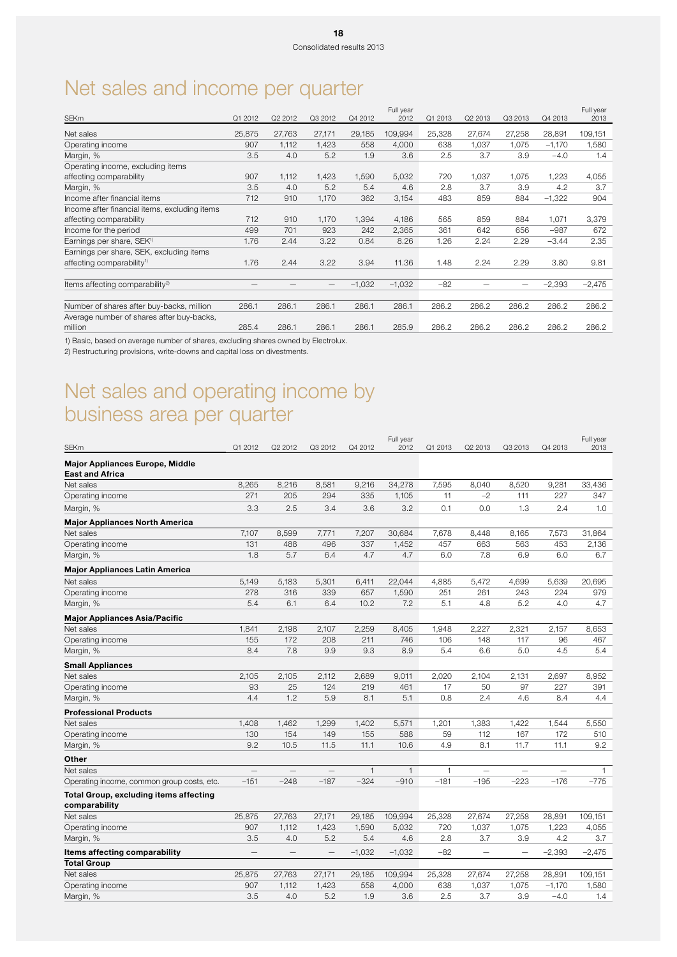# Net sales and income per quarter

|        |         |         |          | Full year |        |         |         |          | Full year |
|--------|---------|---------|----------|-----------|--------|---------|---------|----------|-----------|
|        |         |         |          |           |        |         |         |          | 2013      |
| 25,875 | 27,763  | 27,171  | 29,185   | 109,994   | 25,328 | 27,674  | 27,258  | 28,891   | 109,151   |
| 907    | 1,112   | 1,423   | 558      | 4,000     | 638    | 1,037   | 1,075   | $-1,170$ | 1,580     |
| 3.5    | 4.0     | 5.2     | 1.9      | 3.6       | 2.5    | 3.7     | 3.9     | $-4.0$   | 1.4       |
|        |         |         |          |           |        |         |         |          |           |
| 907    | 1,112   | 1,423   | 1,590    | 5,032     | 720    | 1,037   | 1,075   | 1,223    | 4,055     |
| 3.5    | 4.0     | 5.2     | 5.4      | 4.6       | 2.8    | 3.7     | 3.9     | 4.2      | 3.7       |
| 712    | 910     | 1,170   | 362      | 3,154     | 483    | 859     | 884     | $-1,322$ | 904       |
|        |         |         |          |           |        |         |         |          |           |
| 712    | 910     | 1,170   | 1,394    | 4,186     | 565    | 859     | 884     | 1,071    | 3,379     |
| 499    | 701     | 923     | 242      | 2,365     | 361    | 642     | 656     | $-987$   | 672       |
| 1.76   | 2.44    | 3.22    | 0.84     | 8.26      | 1.26   | 2.24    | 2.29    | $-3.44$  | 2.35      |
|        |         |         |          |           |        |         |         |          |           |
| 1.76   | 2.44    | 3.22    | 3.94     | 11.36     | 1.48   | 2.24    | 2.29    | 3.80     | 9.81      |
|        |         |         |          |           |        |         |         |          |           |
| —      |         | —       | $-1,032$ | $-1,032$  | $-82$  |         | -       | $-2,393$ | $-2,475$  |
|        |         |         |          |           |        |         |         |          |           |
| 286.1  | 286.1   | 286.1   | 286.1    | 286.1     | 286.2  | 286.2   | 286.2   | 286.2    | 286.2     |
|        |         |         |          |           |        |         |         |          |           |
| 285.4  | 286.1   | 286.1   | 286.1    | 285.9     | 286.2  | 286.2   | 286.2   | 286.2    | 286.2     |
|        | Q1 2012 | Q2 2012 | Q3 2012  | Q4 2012   | 2012   | Q1 2013 | Q2 2013 | Q3 2013  | Q4 2013   |

1) Basic, based on average number of shares, excluding shares owned by Electrolux.

2) Restructuring provisions, write-downs and capital loss on divestments.

# Net sales and operating income by business area per quarter

| <b>SEKm</b>                                               | Q1 2012 | Q2 2012                  | Q3 2012                  | Q4 2012      | Full year<br>2012 | Q1 2013      | Q2 2013                  | Q3 2013                  | Q4 2013                  | Full year<br>2013 |
|-----------------------------------------------------------|---------|--------------------------|--------------------------|--------------|-------------------|--------------|--------------------------|--------------------------|--------------------------|-------------------|
|                                                           |         |                          |                          |              |                   |              |                          |                          |                          |                   |
| Major Appliances Europe, Middle<br><b>East and Africa</b> |         |                          |                          |              |                   |              |                          |                          |                          |                   |
| Net sales                                                 | 8,265   | 8,216                    | 8,581                    | 9,216        | 34,278            | 7,595        | 8,040                    | 8,520                    | 9,281                    | 33,436            |
| Operating income                                          | 271     | 205                      | 294                      | 335          | 1,105             | 11           | $-2$                     | 111                      | 227                      | 347               |
| Margin, %                                                 | 3.3     | 2.5                      | 3.4                      | 3.6          | 3.2               | 0.1          | 0.0                      | 1.3                      | 2.4                      | 1.0               |
| <b>Major Appliances North America</b>                     |         |                          |                          |              |                   |              |                          |                          |                          |                   |
| Net sales                                                 | 7,107   | 8,599                    | 7,771                    | 7,207        | 30,684            | 7,678        | 8,448                    | 8,165                    | 7,573                    | 31,864            |
| Operating income                                          | 131     | 488                      | 496                      | 337          | 1,452             | 457          | 663                      | 563                      | 453                      | 2,136             |
| Margin, %                                                 | 1.8     | 5.7                      | 6.4                      | 4.7          | 4.7               | 6.0          | 7.8                      | 6.9                      | 6.0                      | 6.7               |
| <b>Major Appliances Latin America</b>                     |         |                          |                          |              |                   |              |                          |                          |                          |                   |
| Net sales                                                 | 5,149   | 5,183                    | 5,301                    | 6,411        | 22,044            | 4,885        | 5,472                    | 4,699                    | 5,639                    | 20,695            |
| Operating income                                          | 278     | 316                      | 339                      | 657          | 1,590             | 251          | 261                      | 243                      | 224                      | 979               |
| Margin, %                                                 | 5.4     | 6.1                      | 6.4                      | 10.2         | 7.2               | 5.1          | 4.8                      | 5.2                      | 4.0                      | 4.7               |
| <b>Major Appliances Asia/Pacific</b>                      |         |                          |                          |              |                   |              |                          |                          |                          |                   |
| Net sales                                                 | 1,841   | 2,198                    | 2,107                    | 2,259        | 8,405             | 1,948        | 2,227                    | 2,321                    | 2,157                    | 8,653             |
| Operating income                                          | 155     | 172                      | 208                      | 211          | 746               | 106          | 148                      | 117                      | 96                       | 467               |
| Margin, %                                                 | 8.4     | 7.8                      | 9.9                      | 9.3          | 8.9               | 5.4          | 6.6                      | 5.0                      | 4.5                      | 5.4               |
| <b>Small Appliances</b>                                   |         |                          |                          |              |                   |              |                          |                          |                          |                   |
| Net sales                                                 | 2,105   | 2,105                    | 2,112                    | 2,689        | 9,011             | 2,020        | 2,104                    | 2,131                    | 2,697                    | 8,952             |
| Operating income                                          | 93      | 25                       | 124                      | 219          | 461               | 17           | 50                       | 97                       | 227                      | 391               |
| Margin, %                                                 | 4.4     | 1.2                      | 5.9                      | 8.1          | 5.1               | 0.8          | 2.4                      | 4.6                      | 8.4                      | 4.4               |
| <b>Professional Products</b>                              |         |                          |                          |              |                   |              |                          |                          |                          |                   |
| Net sales                                                 | 1,408   | 1,462                    | 1,299                    | 1,402        | 5,571             | 1,201        | 1,383                    | 1,422                    | 1,544                    | 5,550             |
| Operating income                                          | 130     | 154                      | 149                      | 155          | 588               | 59           | 112                      | 167                      | 172                      | 510               |
| Margin, %                                                 | 9.2     | 10.5                     | 11.5                     | 11.1         | 10.6              | 4.9          | 8.1                      | 11.7                     | 11.1                     | 9.2               |
| Other                                                     |         |                          |                          |              |                   |              |                          |                          |                          |                   |
| Net sales                                                 |         | $\overline{\phantom{0}}$ | $\overline{\phantom{0}}$ | $\mathbf{1}$ | $\mathbf{1}$      | $\mathbf{1}$ | $\overline{\phantom{0}}$ | $\overline{\phantom{0}}$ | $\overline{\phantom{0}}$ | $\mathbf{1}$      |
| Operating income, common group costs, etc.                | $-151$  | $-248$                   | $-187$                   | $-324$       | $-910$            | $-181$       | $-195$                   | $-223$                   | $-176$                   | $-775$            |
| Total Group, excluding items affecting<br>comparability   |         |                          |                          |              |                   |              |                          |                          |                          |                   |
| Net sales                                                 | 25,875  | 27,763                   | 27,171                   | 29,185       | 109,994           | 25,328       | 27,674                   | 27,258                   | 28,891                   | 109,151           |
| Operating income                                          | 907     | 1,112                    | 1,423                    | 1,590        | 5,032             | 720          | 1,037                    | 1,075                    | 1,223                    | 4,055             |
| Margin, %                                                 | 3.5     | 4.0                      | 5.2                      | 5.4          | 4.6               | 2.8          | 3.7                      | 3.9                      | 4.2                      | 3.7               |
| Items affecting comparability                             |         |                          | $\overline{\phantom{0}}$ | $-1,032$     | $-1,032$          | $-82$        | —<br>—                   | $\overline{\phantom{0}}$ | $-2,393$                 | $-2,475$          |
| <b>Total Group</b>                                        |         |                          |                          |              |                   |              |                          |                          |                          |                   |
| Net sales                                                 | 25,875  | 27,763                   | 27,171                   | 29,185       | 109,994           | 25,328       | 27,674                   | 27,258                   | 28,891                   | 109,151           |
| Operating income                                          | 907     | 1,112                    | 1,423                    | 558          | 4,000             | 638          | 1,037                    | 1,075                    | $-1,170$                 | 1,580             |
| Margin, %                                                 | 3.5     | 4.0                      | 5.2                      | 1.9          | 3.6               | 2.5          | 3.7                      | 3.9                      | $-4.0$                   | 1.4               |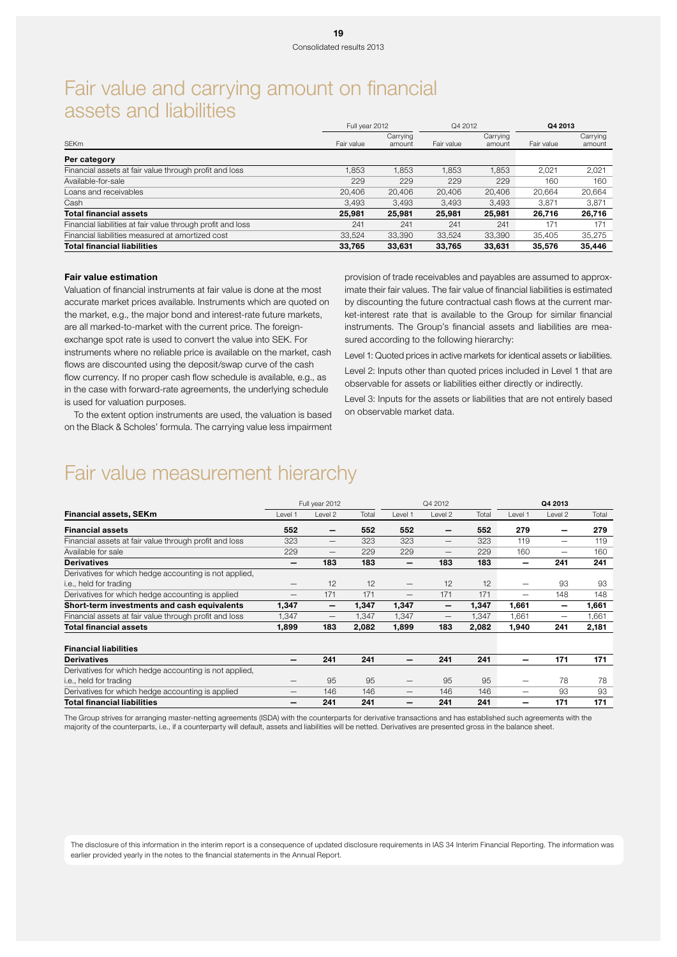## Fair value and carrying amount on financial assets and liabilities

|                                                             | Full year 2012 |                    | Q4 2012    |                    | Q4 2013    |                    |
|-------------------------------------------------------------|----------------|--------------------|------------|--------------------|------------|--------------------|
| <b>SEKm</b>                                                 | Fair value     | Carrying<br>amount | Fair value | Carrying<br>amount | Fair value | Carrying<br>amount |
| Per category                                                |                |                    |            |                    |            |                    |
| Financial assets at fair value through profit and loss      | 1.853          | 1.853              | 1.853      | 1.853              | 2.021      | 2.021              |
| Available-for-sale                                          | 229            | 229                | 229        | 229                | 160        | 160                |
| Loans and receivables                                       | 20,406         | 20,406             | 20,406     | 20.406             | 20.664     | 20,664             |
| Cash                                                        | 3.493          | 3,493              | 3.493      | 3.493              | 3.871      | 3.871              |
| <b>Total financial assets</b>                               | 25,981         | 25,981             | 25,981     | 25,981             | 26.716     | 26,716             |
| Financial liabilities at fair value through profit and loss | 241            | 241                | 241        | 241                | 171        | 171                |
| Financial liabilities measured at amortized cost            | 33,524         | 33,390             | 33,524     | 33,390             | 35,405     | 35,275             |
| <b>Total financial liabilities</b>                          | 33,765         | 33,631             | 33,765     | 33,631             | 35,576     | 35,446             |

### Fair value estimation

Valuation of financial instruments at fair value is done at the most accurate market prices available. Instruments which are quoted on the market, e.g., the major bond and interest-rate future markets, are all marked-to-market with the current price. The foreignexchange spot rate is used to convert the value into SEK. For instruments where no reliable price is available on the market, cash flows are discounted using the deposit/swap curve of the cash flow currency. If no proper cash flow schedule is available, e.g., as in the case with forward-rate agreements, the underlying schedule is used for valuation purposes.

provision of trade receivables and payables are assumed to approximate their fair values. The fair value of financial liabilities is estimated by discounting the future contractual cash flows at the current market-interest rate that is available to the Group for similar financial instruments. The Group's financial assets and liabilities are measured according to the following hierarchy:

Level 1: Quoted prices in active markets for identical assets or liabilities. Level 2: Inputs other than quoted prices included in Level 1 that are observable for assets or liabilities either directly or indirectly.

Level 3: Inputs for the assets or liabilities that are not entirely based on observable market data.

To the extent option instruments are used, the valuation is based on the Black & Scholes' formula. The carrying value less impairment

## Fair value measurement hierarchy

|                                                        |                          | Full year 2012           |       | Q4 2012                  |                   |       | Q4 2013 |         |       |
|--------------------------------------------------------|--------------------------|--------------------------|-------|--------------------------|-------------------|-------|---------|---------|-------|
| <b>Financial assets, SEKm</b>                          | Level :                  | Level 2                  | Total | Level 1                  | Level 2           | Total | Level 1 | Level 2 | Total |
| <b>Financial assets</b>                                | 552                      | -                        | 552   | 552                      | -                 | 552   | 279     |         | 279   |
| Financial assets at fair value through profit and loss | 323                      | $\overline{\phantom{m}}$ | 323   | 323                      | $\qquad \qquad -$ | 323   | 119     | -       | 119   |
| Available for sale                                     | 229                      | -                        | 229   | 229                      | -                 | 229   | 160     | -       | 160   |
| <b>Derivatives</b>                                     |                          | 183                      | 183   |                          | 183               | 183   |         | 241     | 241   |
| Derivatives for which hedge accounting is not applied, |                          |                          |       |                          |                   |       |         |         |       |
| i.e., held for trading                                 | $\overline{\phantom{0}}$ | 12                       | 12    | $\overline{\phantom{0}}$ | 12                | 12    | -       | 93      | 93    |
| Derivatives for which hedge accounting is applied      | —                        | 171                      | 171   | -                        | 171               | 171   | -       | 148     | 148   |
| Short-term investments and cash equivalents            | 1,347                    | -                        | 1,347 | 1,347                    |                   | 1,347 | 1,661   |         | 1,661 |
| Financial assets at fair value through profit and loss | 1,347                    |                          | 1,347 | 1,347                    | -                 | 1,347 | 1.661   | -       | 1,661 |
| Total financial assets                                 | 1.899                    | 183                      | 2,082 | 1,899                    | 183               | 2,082 | 1,940   | 241     | 2,181 |
| <b>Financial liabilities</b>                           |                          |                          |       |                          |                   |       |         |         |       |
| <b>Derivatives</b>                                     |                          | 241                      | 241   |                          | 241               | 241   |         | 171     | 171   |
| Derivatives for which hedge accounting is not applied, |                          |                          |       |                          |                   |       |         |         |       |
| i.e., held for trading                                 | $\overline{\phantom{0}}$ | 95                       | 95    | $\overline{\phantom{m}}$ | 95                | 95    | -       | 78      | 78    |
| Derivatives for which hedge accounting is applied      | –                        | 146                      | 146   | —                        | 146               | 146   | –       | 93      | 93    |
| <b>Total financial liabilities</b>                     |                          | 241                      | 241   |                          | 241               | 241   |         | 171     | 171   |

The Group strives for arranging master-netting agreements (ISDA) with the counterparts for derivative transactions and has established such agreements with the majority of the counterparts, i.e., if a counterparty will default, assets and liabilities will be netted. Derivatives are presented gross in the balance sheet.

The disclosure of this information in the interim report is a consequence of updated disclosure requirements in IAS 34 Interim Financial Reporting. The information was earlier provided yearly in the notes to the financial statements in the Annual Report.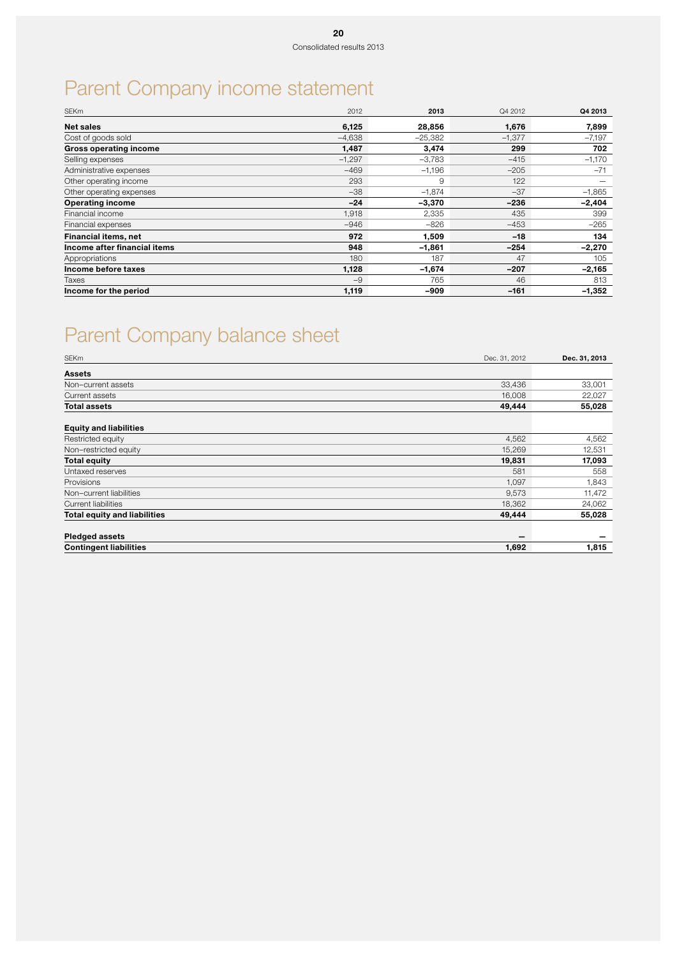# Parent Company income statement

| <b>SEKm</b>                   | 2012     | 2013      | Q4 2012  | Q4 2013  |
|-------------------------------|----------|-----------|----------|----------|
| <b>Net sales</b>              | 6,125    | 28,856    | 1,676    | 7,899    |
| Cost of goods sold            | $-4,638$ | $-25,382$ | $-1,377$ | $-7,197$ |
| <b>Gross operating income</b> | 1,487    | 3,474     | 299      | 702      |
| Selling expenses              | $-1,297$ | -3,783    | $-415$   | $-1,170$ |
| Administrative expenses       | $-469$   | $-1,196$  | $-205$   | $-71$    |
| Other operating income        | 293      | 9         | 122      |          |
| Other operating expenses      | $-38$    | $-1,874$  | $-37$    | $-1,865$ |
| <b>Operating income</b>       | $-24$    | $-3,370$  | $-236$   | $-2,404$ |
| Financial income              | 1,918    | 2,335     | 435      | 399      |
| Financial expenses            | $-946$   | -826      | $-453$   | $-265$   |
| Financial items, net          | 972      | 1,509     | $-18$    | 134      |
| Income after financial items  | 948      | $-1,861$  | $-254$   | $-2,270$ |
| Appropriations                | 180      | 187       | 47       | 105      |
| Income before taxes           | 1,128    | $-1,674$  | $-207$   | $-2,165$ |
| Taxes                         | $-9$     | 765       | 46       | 813      |
| Income for the period         | 1,119    | -909      | $-161$   | $-1,352$ |

# Parent Company balance sheet

| <b>SEKm</b>                         | Dec. 31, 2012            | Dec. 31, 2013 |
|-------------------------------------|--------------------------|---------------|
| <b>Assets</b>                       |                          |               |
| Non-current assets                  | 33,436                   | 33,001        |
| Current assets                      | 16,008                   | 22,027        |
| <b>Total assets</b>                 | 49,444                   | 55,028        |
| <b>Equity and liabilities</b>       |                          |               |
| Restricted equity                   | 4,562                    | 4,562         |
| Non-restricted equity               | 15,269                   | 12,531        |
| <b>Total equity</b>                 | 19,831                   | 17,093        |
| Untaxed reserves                    | 581                      | 558           |
| Provisions                          | 1,097                    | 1,843         |
| Non-current liabilities             | 9,573                    | 11,472        |
| <b>Current liabilities</b>          | 18,362                   | 24,062        |
| <b>Total equity and liabilities</b> | 49,444                   | 55,028        |
| <b>Pledged assets</b>               | $\overline{\phantom{a}}$ |               |
| <b>Contingent liabilities</b>       | 1,692                    | 1,815         |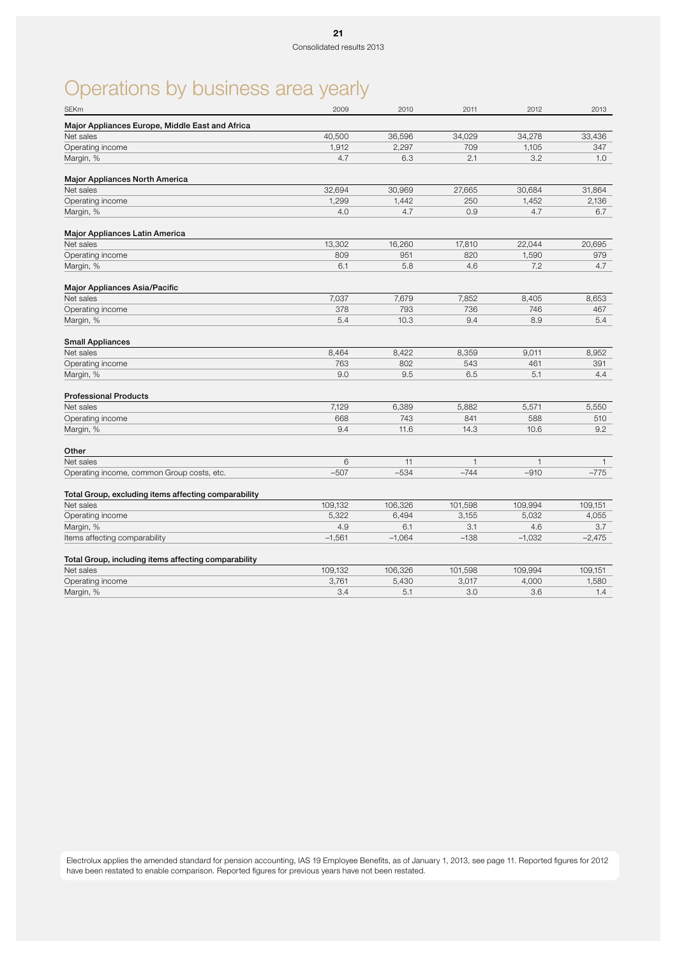# Operations by business area yearly

| Major Appliances Europe, Middle East and Africa<br>Net sales<br>40,500<br>36,596<br>34,278<br>33,436<br>34,029<br>1,912<br>2,297<br>Operating income<br>709<br>1,105<br>347<br>4.7<br>6.3<br>2.1<br>3.2<br>1.0<br>Margin, %<br><b>Major Appliances North America</b><br>Net sales<br>32,694<br>30,969<br>27,665<br>30,684<br>31,864<br>Operating income<br>1,299<br>1,442<br>250<br>1,452<br>2,136<br>0.9<br>Margin, %<br>4.0<br>4.7<br>4.7<br>6.7<br>Major Appliances Latin America<br>13,302<br>16,260<br>17,810<br>Net sales<br>22,044<br>20,695<br>809<br>820<br>1,590<br>Operating income<br>951<br>979<br>Margin, %<br>6.1<br>5.8<br>4.6<br>7.2<br>4.7<br>Major Appliances Asia/Pacific<br>Net sales<br>7,037<br>7,852<br>7,679<br>8,405<br>8,653<br>Operating income<br>378<br>793<br>736<br>746<br>467<br>5.4<br>9.4<br>Margin, %<br>10.3<br>8.9<br>5.4<br><b>Small Appliances</b><br>Net sales<br>8,464<br>8,422<br>8,359<br>9,011<br>8.952<br>763<br>802<br>543<br>461<br>391<br>Operating income<br>Margin, %<br>9.0<br>9.5<br>6.5<br>5.1<br>4.4<br><b>Professional Products</b><br>7,129<br>5,571<br>5,550<br>Net sales<br>6,389<br>5,882<br>668<br>743<br>841<br>588<br>Operating income<br>510<br>Margin, %<br>9.4<br>11.6<br>14.3<br>10.6<br>9.2<br>Other<br>Net sales<br>6<br>11<br>$\mathbf{1}$<br>$\mathbf{1}$<br>$\mathbf{1}$<br>$-744$<br>$-507$<br>$-534$<br>$-910$<br>$-775$<br>Operating income, common Group costs, etc.<br>Total Group, excluding items affecting comparability<br>Net sales<br>109,132<br>106,326<br>101,598<br>109,994<br>109,151<br>Operating income<br>5,322<br>6,494<br>3,155<br>5,032<br>4,055<br>4.9<br>6.1<br>3.1<br>3.7<br>Margin, %<br>4.6<br>$-1,561$<br>$-1,064$<br>$-138$<br>$-1,032$<br>$-2,475$<br>Items affecting comparability<br>Total Group, including items affecting comparability<br>Net sales<br>109,132<br>106,326<br>101,598<br>109,994<br>109,151<br>Operating income<br>3,761<br>5,430<br>3,017<br>4,000<br>1,580<br>3.6<br>3.4<br>5.1<br>3.0<br>1.4<br>Margin, % | <b>SEKm</b> | 2009 | 2010 | 2011 | 2012 | 2013 |
|---------------------------------------------------------------------------------------------------------------------------------------------------------------------------------------------------------------------------------------------------------------------------------------------------------------------------------------------------------------------------------------------------------------------------------------------------------------------------------------------------------------------------------------------------------------------------------------------------------------------------------------------------------------------------------------------------------------------------------------------------------------------------------------------------------------------------------------------------------------------------------------------------------------------------------------------------------------------------------------------------------------------------------------------------------------------------------------------------------------------------------------------------------------------------------------------------------------------------------------------------------------------------------------------------------------------------------------------------------------------------------------------------------------------------------------------------------------------------------------------------------------------------------------------------------------------------------------------------------------------------------------------------------------------------------------------------------------------------------------------------------------------------------------------------------------------------------------------------------------------------------------------------------------------------------------------------------------------------------------------------------------------------------------|-------------|------|------|------|------|------|
|                                                                                                                                                                                                                                                                                                                                                                                                                                                                                                                                                                                                                                                                                                                                                                                                                                                                                                                                                                                                                                                                                                                                                                                                                                                                                                                                                                                                                                                                                                                                                                                                                                                                                                                                                                                                                                                                                                                                                                                                                                       |             |      |      |      |      |      |
|                                                                                                                                                                                                                                                                                                                                                                                                                                                                                                                                                                                                                                                                                                                                                                                                                                                                                                                                                                                                                                                                                                                                                                                                                                                                                                                                                                                                                                                                                                                                                                                                                                                                                                                                                                                                                                                                                                                                                                                                                                       |             |      |      |      |      |      |
|                                                                                                                                                                                                                                                                                                                                                                                                                                                                                                                                                                                                                                                                                                                                                                                                                                                                                                                                                                                                                                                                                                                                                                                                                                                                                                                                                                                                                                                                                                                                                                                                                                                                                                                                                                                                                                                                                                                                                                                                                                       |             |      |      |      |      |      |
|                                                                                                                                                                                                                                                                                                                                                                                                                                                                                                                                                                                                                                                                                                                                                                                                                                                                                                                                                                                                                                                                                                                                                                                                                                                                                                                                                                                                                                                                                                                                                                                                                                                                                                                                                                                                                                                                                                                                                                                                                                       |             |      |      |      |      |      |
|                                                                                                                                                                                                                                                                                                                                                                                                                                                                                                                                                                                                                                                                                                                                                                                                                                                                                                                                                                                                                                                                                                                                                                                                                                                                                                                                                                                                                                                                                                                                                                                                                                                                                                                                                                                                                                                                                                                                                                                                                                       |             |      |      |      |      |      |
|                                                                                                                                                                                                                                                                                                                                                                                                                                                                                                                                                                                                                                                                                                                                                                                                                                                                                                                                                                                                                                                                                                                                                                                                                                                                                                                                                                                                                                                                                                                                                                                                                                                                                                                                                                                                                                                                                                                                                                                                                                       |             |      |      |      |      |      |
|                                                                                                                                                                                                                                                                                                                                                                                                                                                                                                                                                                                                                                                                                                                                                                                                                                                                                                                                                                                                                                                                                                                                                                                                                                                                                                                                                                                                                                                                                                                                                                                                                                                                                                                                                                                                                                                                                                                                                                                                                                       |             |      |      |      |      |      |
|                                                                                                                                                                                                                                                                                                                                                                                                                                                                                                                                                                                                                                                                                                                                                                                                                                                                                                                                                                                                                                                                                                                                                                                                                                                                                                                                                                                                                                                                                                                                                                                                                                                                                                                                                                                                                                                                                                                                                                                                                                       |             |      |      |      |      |      |
|                                                                                                                                                                                                                                                                                                                                                                                                                                                                                                                                                                                                                                                                                                                                                                                                                                                                                                                                                                                                                                                                                                                                                                                                                                                                                                                                                                                                                                                                                                                                                                                                                                                                                                                                                                                                                                                                                                                                                                                                                                       |             |      |      |      |      |      |
|                                                                                                                                                                                                                                                                                                                                                                                                                                                                                                                                                                                                                                                                                                                                                                                                                                                                                                                                                                                                                                                                                                                                                                                                                                                                                                                                                                                                                                                                                                                                                                                                                                                                                                                                                                                                                                                                                                                                                                                                                                       |             |      |      |      |      |      |
|                                                                                                                                                                                                                                                                                                                                                                                                                                                                                                                                                                                                                                                                                                                                                                                                                                                                                                                                                                                                                                                                                                                                                                                                                                                                                                                                                                                                                                                                                                                                                                                                                                                                                                                                                                                                                                                                                                                                                                                                                                       |             |      |      |      |      |      |
|                                                                                                                                                                                                                                                                                                                                                                                                                                                                                                                                                                                                                                                                                                                                                                                                                                                                                                                                                                                                                                                                                                                                                                                                                                                                                                                                                                                                                                                                                                                                                                                                                                                                                                                                                                                                                                                                                                                                                                                                                                       |             |      |      |      |      |      |
|                                                                                                                                                                                                                                                                                                                                                                                                                                                                                                                                                                                                                                                                                                                                                                                                                                                                                                                                                                                                                                                                                                                                                                                                                                                                                                                                                                                                                                                                                                                                                                                                                                                                                                                                                                                                                                                                                                                                                                                                                                       |             |      |      |      |      |      |
|                                                                                                                                                                                                                                                                                                                                                                                                                                                                                                                                                                                                                                                                                                                                                                                                                                                                                                                                                                                                                                                                                                                                                                                                                                                                                                                                                                                                                                                                                                                                                                                                                                                                                                                                                                                                                                                                                                                                                                                                                                       |             |      |      |      |      |      |
|                                                                                                                                                                                                                                                                                                                                                                                                                                                                                                                                                                                                                                                                                                                                                                                                                                                                                                                                                                                                                                                                                                                                                                                                                                                                                                                                                                                                                                                                                                                                                                                                                                                                                                                                                                                                                                                                                                                                                                                                                                       |             |      |      |      |      |      |
|                                                                                                                                                                                                                                                                                                                                                                                                                                                                                                                                                                                                                                                                                                                                                                                                                                                                                                                                                                                                                                                                                                                                                                                                                                                                                                                                                                                                                                                                                                                                                                                                                                                                                                                                                                                                                                                                                                                                                                                                                                       |             |      |      |      |      |      |
|                                                                                                                                                                                                                                                                                                                                                                                                                                                                                                                                                                                                                                                                                                                                                                                                                                                                                                                                                                                                                                                                                                                                                                                                                                                                                                                                                                                                                                                                                                                                                                                                                                                                                                                                                                                                                                                                                                                                                                                                                                       |             |      |      |      |      |      |
|                                                                                                                                                                                                                                                                                                                                                                                                                                                                                                                                                                                                                                                                                                                                                                                                                                                                                                                                                                                                                                                                                                                                                                                                                                                                                                                                                                                                                                                                                                                                                                                                                                                                                                                                                                                                                                                                                                                                                                                                                                       |             |      |      |      |      |      |
|                                                                                                                                                                                                                                                                                                                                                                                                                                                                                                                                                                                                                                                                                                                                                                                                                                                                                                                                                                                                                                                                                                                                                                                                                                                                                                                                                                                                                                                                                                                                                                                                                                                                                                                                                                                                                                                                                                                                                                                                                                       |             |      |      |      |      |      |
|                                                                                                                                                                                                                                                                                                                                                                                                                                                                                                                                                                                                                                                                                                                                                                                                                                                                                                                                                                                                                                                                                                                                                                                                                                                                                                                                                                                                                                                                                                                                                                                                                                                                                                                                                                                                                                                                                                                                                                                                                                       |             |      |      |      |      |      |
|                                                                                                                                                                                                                                                                                                                                                                                                                                                                                                                                                                                                                                                                                                                                                                                                                                                                                                                                                                                                                                                                                                                                                                                                                                                                                                                                                                                                                                                                                                                                                                                                                                                                                                                                                                                                                                                                                                                                                                                                                                       |             |      |      |      |      |      |
|                                                                                                                                                                                                                                                                                                                                                                                                                                                                                                                                                                                                                                                                                                                                                                                                                                                                                                                                                                                                                                                                                                                                                                                                                                                                                                                                                                                                                                                                                                                                                                                                                                                                                                                                                                                                                                                                                                                                                                                                                                       |             |      |      |      |      |      |
|                                                                                                                                                                                                                                                                                                                                                                                                                                                                                                                                                                                                                                                                                                                                                                                                                                                                                                                                                                                                                                                                                                                                                                                                                                                                                                                                                                                                                                                                                                                                                                                                                                                                                                                                                                                                                                                                                                                                                                                                                                       |             |      |      |      |      |      |
|                                                                                                                                                                                                                                                                                                                                                                                                                                                                                                                                                                                                                                                                                                                                                                                                                                                                                                                                                                                                                                                                                                                                                                                                                                                                                                                                                                                                                                                                                                                                                                                                                                                                                                                                                                                                                                                                                                                                                                                                                                       |             |      |      |      |      |      |
|                                                                                                                                                                                                                                                                                                                                                                                                                                                                                                                                                                                                                                                                                                                                                                                                                                                                                                                                                                                                                                                                                                                                                                                                                                                                                                                                                                                                                                                                                                                                                                                                                                                                                                                                                                                                                                                                                                                                                                                                                                       |             |      |      |      |      |      |
|                                                                                                                                                                                                                                                                                                                                                                                                                                                                                                                                                                                                                                                                                                                                                                                                                                                                                                                                                                                                                                                                                                                                                                                                                                                                                                                                                                                                                                                                                                                                                                                                                                                                                                                                                                                                                                                                                                                                                                                                                                       |             |      |      |      |      |      |
|                                                                                                                                                                                                                                                                                                                                                                                                                                                                                                                                                                                                                                                                                                                                                                                                                                                                                                                                                                                                                                                                                                                                                                                                                                                                                                                                                                                                                                                                                                                                                                                                                                                                                                                                                                                                                                                                                                                                                                                                                                       |             |      |      |      |      |      |
|                                                                                                                                                                                                                                                                                                                                                                                                                                                                                                                                                                                                                                                                                                                                                                                                                                                                                                                                                                                                                                                                                                                                                                                                                                                                                                                                                                                                                                                                                                                                                                                                                                                                                                                                                                                                                                                                                                                                                                                                                                       |             |      |      |      |      |      |
|                                                                                                                                                                                                                                                                                                                                                                                                                                                                                                                                                                                                                                                                                                                                                                                                                                                                                                                                                                                                                                                                                                                                                                                                                                                                                                                                                                                                                                                                                                                                                                                                                                                                                                                                                                                                                                                                                                                                                                                                                                       |             |      |      |      |      |      |
|                                                                                                                                                                                                                                                                                                                                                                                                                                                                                                                                                                                                                                                                                                                                                                                                                                                                                                                                                                                                                                                                                                                                                                                                                                                                                                                                                                                                                                                                                                                                                                                                                                                                                                                                                                                                                                                                                                                                                                                                                                       |             |      |      |      |      |      |
|                                                                                                                                                                                                                                                                                                                                                                                                                                                                                                                                                                                                                                                                                                                                                                                                                                                                                                                                                                                                                                                                                                                                                                                                                                                                                                                                                                                                                                                                                                                                                                                                                                                                                                                                                                                                                                                                                                                                                                                                                                       |             |      |      |      |      |      |
|                                                                                                                                                                                                                                                                                                                                                                                                                                                                                                                                                                                                                                                                                                                                                                                                                                                                                                                                                                                                                                                                                                                                                                                                                                                                                                                                                                                                                                                                                                                                                                                                                                                                                                                                                                                                                                                                                                                                                                                                                                       |             |      |      |      |      |      |
|                                                                                                                                                                                                                                                                                                                                                                                                                                                                                                                                                                                                                                                                                                                                                                                                                                                                                                                                                                                                                                                                                                                                                                                                                                                                                                                                                                                                                                                                                                                                                                                                                                                                                                                                                                                                                                                                                                                                                                                                                                       |             |      |      |      |      |      |
|                                                                                                                                                                                                                                                                                                                                                                                                                                                                                                                                                                                                                                                                                                                                                                                                                                                                                                                                                                                                                                                                                                                                                                                                                                                                                                                                                                                                                                                                                                                                                                                                                                                                                                                                                                                                                                                                                                                                                                                                                                       |             |      |      |      |      |      |
|                                                                                                                                                                                                                                                                                                                                                                                                                                                                                                                                                                                                                                                                                                                                                                                                                                                                                                                                                                                                                                                                                                                                                                                                                                                                                                                                                                                                                                                                                                                                                                                                                                                                                                                                                                                                                                                                                                                                                                                                                                       |             |      |      |      |      |      |
|                                                                                                                                                                                                                                                                                                                                                                                                                                                                                                                                                                                                                                                                                                                                                                                                                                                                                                                                                                                                                                                                                                                                                                                                                                                                                                                                                                                                                                                                                                                                                                                                                                                                                                                                                                                                                                                                                                                                                                                                                                       |             |      |      |      |      |      |

Electrolux applies the amended standard for pension accounting, IAS 19 Employee Benefits, as of January 1, 2013, see page 11. Reported figures for 2012 have been restated to enable comparison. Reported figures for previous years have not been restated.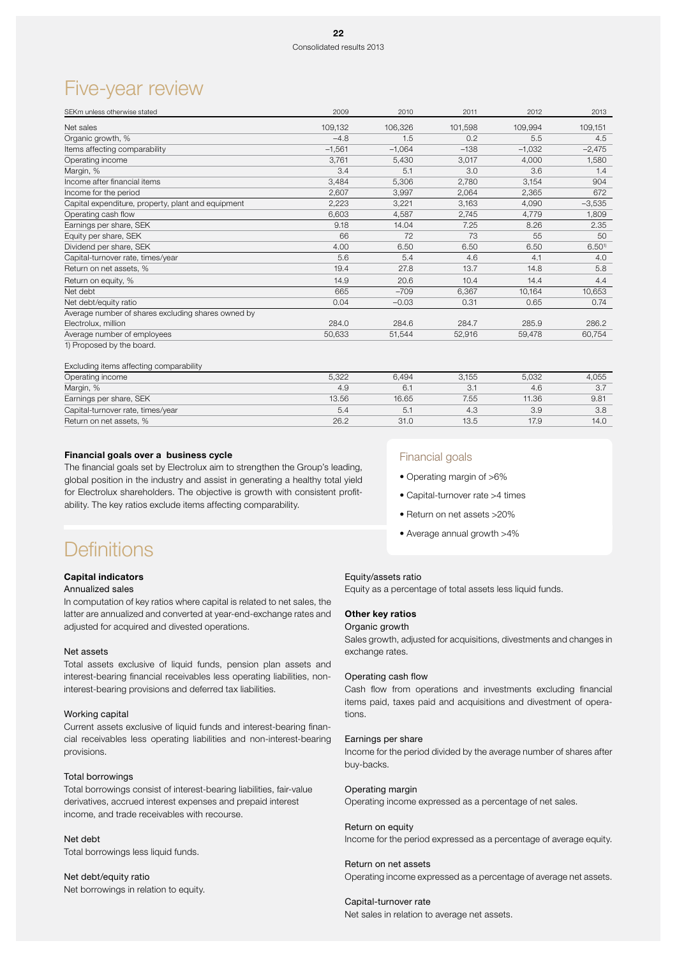## Five-year review

| SEKm unless otherwise stated                       | 2009     | 2010     | 2011    | 2012     | 2013                 |
|----------------------------------------------------|----------|----------|---------|----------|----------------------|
| Net sales                                          | 109,132  | 106,326  | 101,598 | 109,994  | 109,151              |
| Organic growth, %                                  | $-4.8$   | 1.5      | 0.2     | 5.5      | 4.5                  |
| Items affecting comparability                      | $-1,561$ | $-1,064$ | $-138$  | $-1,032$ | $-2,475$             |
| Operating income                                   | 3,761    | 5,430    | 3,017   | 4,000    | 1,580                |
| Margin, %                                          | 3.4      | 5.1      | 3.0     | 3.6      | 1.4                  |
| Income after financial items                       | 3,484    | 5,306    | 2,780   | 3,154    | 904                  |
| Income for the period                              | 2,607    | 3,997    | 2,064   | 2,365    | 672                  |
| Capital expenditure, property, plant and equipment | 2,223    | 3,221    | 3,163   | 4,090    | $-3,535$             |
| Operating cash flow                                | 6,603    | 4,587    | 2,745   | 4,779    | 1,809                |
| Earnings per share, SEK                            | 9.18     | 14.04    | 7.25    | 8.26     | 2.35                 |
| Equity per share, SEK                              | 66       | 72       | 73      | 55       | 50                   |
| Dividend per share, SEK                            | 4.00     | 6.50     | 6.50    | 6.50     | $6.50$ <sup>1)</sup> |
| Capital-turnover rate, times/year                  | 5.6      | 5.4      | 4.6     | 4.1      | 4.0                  |
| Return on net assets, %                            | 19.4     | 27.8     | 13.7    | 14.8     | 5.8                  |
| Return on equity, %                                | 14.9     | 20.6     | 10.4    | 14.4     | 4.4                  |
| Net debt                                           | 665      | $-709$   | 6,367   | 10,164   | 10,653               |
| Net debt/equity ratio                              | 0.04     | $-0.03$  | 0.31    | 0.65     | 0.74                 |
| Average number of shares excluding shares owned by |          |          |         |          |                      |
| Electrolux, million                                | 284.0    | 284.6    | 284.7   | 285.9    | 286.2                |
| Average number of employees                        | 50,633   | 51,544   | 52,916  | 59,478   | 60,754               |
| 1) Proposed by the board.                          |          |          |         |          |                      |

#### Excluding items affecting comparability

| Operating income                  | 5.322 | 6.494 | 3.155 | 5.032 | 4.055 |
|-----------------------------------|-------|-------|-------|-------|-------|
| Margin, %                         | 4.9   | 6.    |       | 4.6   |       |
| Earnings per share, SEK           | 13.56 | 16.65 | 7.55  | 11.36 | 9.81  |
| Capital-turnover rate, times/year | 5.4   | 5.    | 4.3   | 3.9   | 3.8   |
| Return on net assets, %           | 26.2  | 31.0  | 13.5  | 17.9  | 14.0  |

### Financial goals over a business cycle

The financial goals set by Electrolux aim to strengthen the Group's leading, global position in the industry and assist in generating a healthy total yield for Electrolux shareholders. The objective is growth with consistent profitability. The key ratios exclude items affecting comparability.

### Financial goals

- Operating margin of >6%
- Capital-turnover rate >4 times
- Return on net assets >20%
- Average annual growth >4%

## **Definitions**

### Capital indicators

### Annualized sales

In computation of key ratios where capital is related to net sales, the latter are annualized and converted at year-end-exchange rates and adjusted for acquired and divested operations.

#### Net assets

Total assets exclusive of liquid funds, pension plan assets and interest-bearing financial receivables less operating liabilities, noninterest-bearing provisions and deferred tax liabilities.

### Working capital

Current assets exclusive of liquid funds and interest-bearing financial receivables less operating liabilities and non-interest-bearing provisions.

### Total borrowings

Total borrowings consist of interest-bearing liabilities, fair-value derivatives, accrued interest expenses and prepaid interest income, and trade receivables with recourse.

Net debt Total borrowings less liquid funds.

Net debt/equity ratio Net borrowings in relation to equity.

### Equity/assets ratio

Equity as a percentage of total assets less liquid funds.

### Other key ratios

### Organic growth

Sales growth, adjusted for acquisitions, divestments and changes in exchange rates.

### Operating cash flow

Cash flow from operations and investments excluding financial items paid, taxes paid and acquisitions and divestment of operations.

### Earnings per share

Income for the period divided by the average number of shares after buy-backs.

### Operating margin

Operating income expressed as a percentage of net sales.

### Return on equity

Income for the period expressed as a percentage of average equity.

#### Return on net assets

Operating income expressed as a percentage of average net assets.

#### Capital-turnover rate

Net sales in relation to average net assets.